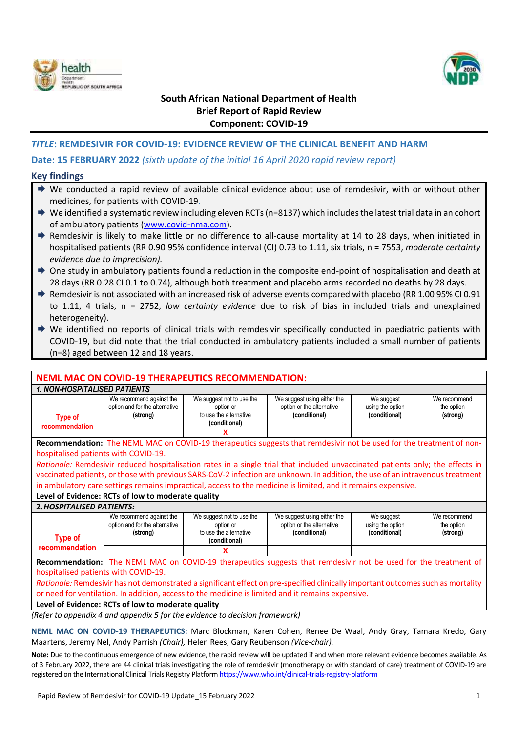



# **South African National Department of Health Brief Report of Rapid Review Component: COVID-19**

## *TITLE***: REMDESIVIR FOR COVID-19: EVIDENCE REVIEW OF THE CLINICAL BENEFIT AND HARM**

## **Date: 15 FEBRUARY 2022** *(sixth update of the initial 16 April 2020 rapid review report)*

#### **Key findings**

- ◆ We conducted a rapid review of available clinical evidence about use of remdesivir, with or without other medicines, for patients with COVID-19.
- $\rightarrow$  We identified a systematic review including eleven RCTs (n=8137) which includes the latest trial data in an cohort of ambulatory patients [\(www.covid-nma.com\)](http://www.covid-nma.com/).
- Remdesivir is likely to make little or no difference to all-cause mortality at 14 to 28 days, when initiated in hospitalised patients (RR 0.90 95% confidence interval (CI) 0.73 to 1.11, six trials, n = 7553, *moderate certainty evidence due to imprecision).*
- $\rightarrow$  One study in ambulatory patients found a reduction in the composite end-point of hospitalisation and death at 28 days (RR 0.28 CI 0.1 to 0.74), although both treatment and placebo arms recorded no deaths by 28 days.
- Remdesivir is not associated with an increased risk of adverse events compared with placebo (RR 1.00 95% CI 0.91 to 1.11, 4 trials, n = 2752, *low certainty evidence* due to risk of bias in included trials and unexplained heterogeneity).
- We identified no reports of clinical trials with remdesivir specifically conducted in paediatric patients with COVID-19, but did note that the trial conducted in ambulatory patients included a small number of patients (n=8) aged between 12 and 18 years.

#### **NEML MAC ON COVID-19 THERAPEUTICS RECOMMENDATION:**  *1. NON-HOSPITALISED PATIENTS* **Type of recommendation** We recommend against the option and for the alternative **(strong)** We suggest not to use the option or to use the alternative **(conditional)** We suggest using either the option or the alternative **(conditional)** We suggest using the option **(conditional)** We recommend the option **(strong) X Recommendation:** The NEML MAC on COVID-19 therapeutics suggests that remdesivir not be used for the treatment of nonhospitalised patients with COVID-19. *Rationale:* Remdesivir reduced hospitalisation rates in a single trial that included unvaccinated patients only; the effects in vaccinated patients, or those with previous SARS-CoV-2 infection are unknown. In addition, the use of an intravenous treatment in ambulatory care settings remains impractical, access to the medicine is limited, and it remains expensive. **Level of Evidence: RCTs of low to moderate quality 2.***HOSPITALISED PATIENTS:* **Type of recommendation** We recommend against the option and for the alternative **(strong)** We suggest not to use the option or to use the alternative **(conditional)** We suggest using either the option or the alternative **(conditional)** We suggest using the option **(conditional)** We recommend the option **(strong) X Recommendation:** The NEML MAC on COVID-19 therapeutics suggests that remdesivir not be used for the treatment of hospitalised patients with COVID-19. *Rationale:* Remdesivir has not demonstrated a significant effect on pre-specified clinically important outcomes such as mortality or need for ventilation. In addition, access to the medicine is limited and it remains expensive. **Level of Evidence: RCTs of low to moderate quality**

*(Refer to appendix 4 and appendix 5 for the evidence to decision framework)*

**NEML MAC ON COVID-19 THERAPEUTICS:** Marc Blockman, Karen Cohen, Renee De Waal, Andy Gray, Tamara Kredo, Gary Maartens, Jeremy Nel, Andy Parrish *(Chair),* Helen Rees, Gary Reubenson *(Vice-chair).*

**Note:** Due to the continuous emergence of new evidence, the rapid review will be updated if and when more relevant evidence becomes available. As of 3 February 2022, there are 44 clinical trials investigating the role of remdesivir (monotherapy or with standard of care) treatment of COVID‐19 are registered on the International Clinical Trials Registry Platform <https://www.who.int/clinical-trials-registry-platform>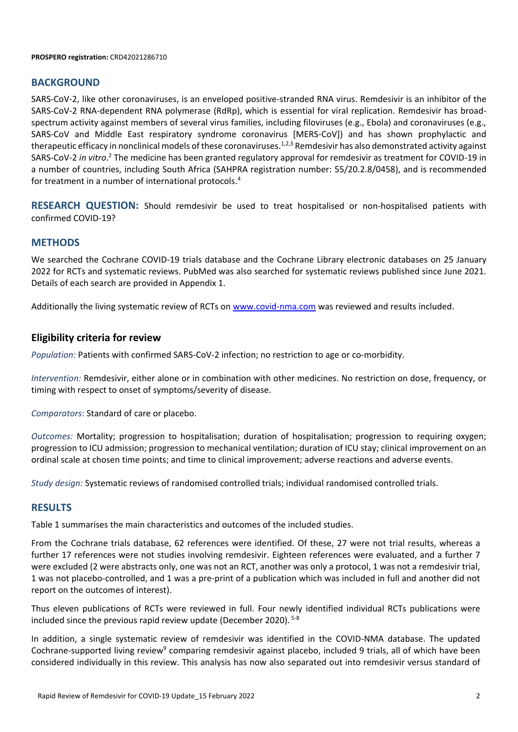#### **PROSPERO registration:** CRD42021286710

#### **BACKGROUND**

SARS-CoV-2, like other coronaviruses, is an enveloped positive-stranded RNA virus. Remdesivir is an inhibitor of the SARS-CoV-2 RNA-dependent RNA polymerase (RdRp), which is essential for viral replication. Remdesivir has broadspectrum activity against members of several virus families, including filoviruses (e.g., Ebola) and coronaviruses (e.g., SARS-CoV and Middle East respiratory syndrome coronavirus [MERS-CoV]) and has shown prophylactic and therapeutic efficacy in nonclinical models of these coronaviruses.<sup>1,2,3</sup> Remdesivir has also demonstrated activity against SARS-CoV-2 in vitro.<sup>2</sup> The medicine has been granted regulatory approval for remdesivir as treatment for COVID-19 in a number of countries, including South Africa (SAHPRA registration number: 55/20.2.8/0458), and is recommended for treatment in a number of international protocols. 4

**RESEARCH QUESTION:** Should remdesivir be used to treat hospitalised or non-hospitalised patients with confirmed COVID-19?

## **METHODS**

We searched the Cochrane COVID-19 trials database and the Cochrane Library electronic databases on 25 January 2022 for RCTs and systematic reviews. PubMed was also searched for systematic reviews published since June 2021. Details of each search are provided in Appendix 1.

Additionally the living systematic review of RCTs on [www.covid-nma.com](http://www.covid-nma.com/) was reviewed and results included.

## **Eligibility criteria for review**

*Population:* Patients with confirmed SARS-CoV-2 infection; no restriction to age or co-morbidity.

*Intervention:* Remdesivir, either alone or in combination with other medicines. No restriction on dose, frequency, or timing with respect to onset of symptoms/severity of disease.

*Comparators*: Standard of care or placebo.

*Outcomes:* Mortality; progression to hospitalisation; duration of hospitalisation; progression to requiring oxygen; progression to ICU admission; progression to mechanical ventilation; duration of ICU stay; clinical improvement on an ordinal scale at chosen time points; and time to clinical improvement; adverse reactions and adverse events.

*Study design:* Systematic reviews of randomised controlled trials; individual randomised controlled trials.

## **RESULTS**

Table 1 summarises the main characteristics and outcomes of the included studies.

From the Cochrane trials database, 62 references were identified. Of these, 27 were not trial results, whereas a further 17 references were not studies involving remdesivir. Eighteen references were evaluated, and a further 7 were excluded (2 were abstracts only, one was not an RCT, another was only a protocol, 1 was not a remdesivir trial, 1 was not placebo-controlled, and 1 was a pre-print of a publication which was included in full and another did not report on the outcomes of interest).

Thus eleven publications of RCTs were reviewed in full. Four newly identified individual RCTs publications were included since the previous rapid review update (December 2020). 5-8

In addition, a single systematic review of remdesivir was identified in the COVID-NMA database. The updated Cochrane-supported living review<sup>9</sup> comparing remdesivir against placebo, included 9 trials, all of which have been considered individually in this review. This analysis has now also separated out into remdesivir versus standard of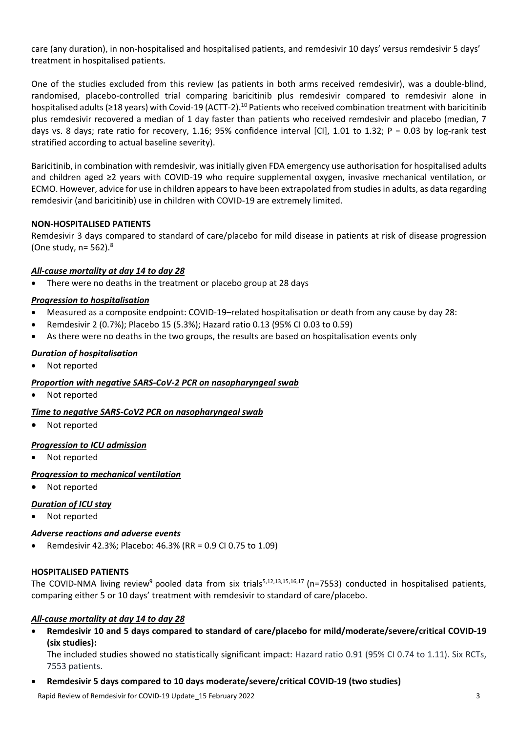care (any duration), in non-hospitalised and hospitalised patients, and remdesivir 10 days' versus remdesivir 5 days' treatment in hospitalised patients.

One of the studies excluded from this review (as patients in both arms received remdesivir), was a double-blind, randomised, placebo-controlled trial comparing baricitinib plus remdesivir compared to remdesivir alone in hospitalised adults (≥18 years) with Covid-19 (ACTT-2).<sup>10</sup> Patients who received combination treatment with baricitinib plus remdesivir recovered a median of 1 day faster than patients who received remdesivir and placebo (median, 7 days vs. 8 days; rate ratio for recovery, 1.16; 95% confidence interval [CI], 1.01 to 1.32; P = 0.03 by log-rank test stratified according to actual baseline severity).

Baricitinib, in combination with remdesivir, was initially given FDA emergency use authorisation for hospitalised adults and children aged ≥2 years with COVID-19 who require supplemental oxygen, invasive mechanical ventilation, or ECMO. However, advice for use in children appears to have been extrapolated from studies in adults, as data regarding remdesivir (and baricitinib) use in children with COVID-19 are extremely limited.

## **NON-HOSPITALISED PATIENTS**

Remdesivir 3 days compared to standard of care/placebo for mild disease in patients at risk of disease progression (One study, n= 562). 8

## *All-cause mortality at day 14 to day 28*

There were no deaths in the treatment or placebo group at 28 days

## *Progression to hospitalisation*

- Measured as a composite endpoint: COVID-19–related hospitalisation or death from any cause by day 28:
- Remdesivir 2 (0.7%); Placebo 15 (5.3%); Hazard ratio 0.13 (95% CI 0.03 to 0.59)
- As there were no deaths in the two groups, the results are based on hospitalisation events only

## *Duration of hospitalisation*

Not reported

#### *Proportion with negative SARS-CoV-2 PCR on nasopharyngeal swab*

Not reported

#### *Time to negative SARS-CoV2 PCR on nasopharyngeal swab*

Not reported

#### *Progression to ICU admission*

Not reported

#### *Progression to mechanical ventilation*

Not reported

#### *Duration of ICU stay*

Not reported

## *Adverse reactions and adverse events*

Remdesivir 42.3%; Placebo: 46.3% (RR = 0.9 CI 0.75 to 1.09)

#### **HOSPITALISED PATIENTS**

The COVID-NMA living review<sup>9</sup> pooled data from six trials<sup>5,12,13,15,16,17</sup> (n=7553) conducted in hospitalised patients, comparing either 5 or 10 days' treatment with remdesivir to standard of care/placebo.

#### *All-cause mortality at day 14 to day 28*

 **Remdesivir 10 and 5 days compared to standard of care/placebo for mild/moderate/severe/critical COVID-19 (six studies):** 

The included studies showed no statistically significant impact: Hazard ratio 0.91 (95% CI 0.74 to 1.11). Six RCTs, 7553 patients.

#### **Remdesivir 5 days compared to 10 days moderate/severe/critical COVID-19 (two studies)**

Rapid Review of Remdesivir for COVID-19 Update 15 February 2022 3 3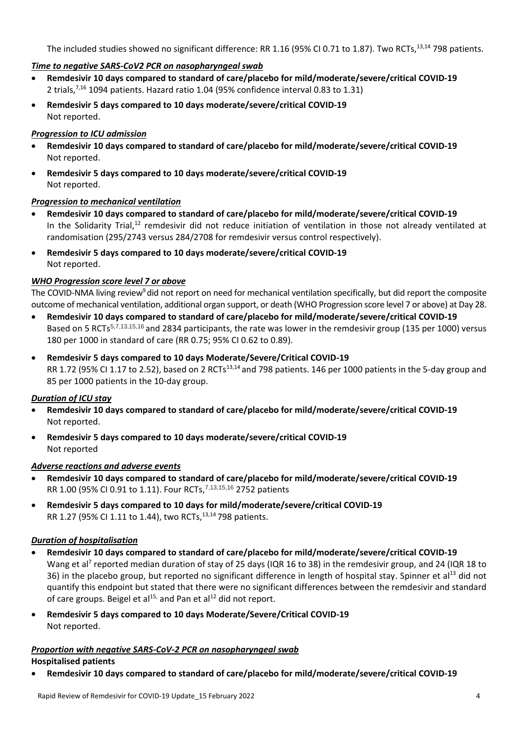The included studies showed no significant difference: RR 1.16 (95% CI 0.71 to 1.87). Two RCTs,<sup>13,14</sup> 798 patients.

## *Time to negative SARS-CoV2 PCR on nasopharyngeal swab*

- **Remdesivir 10 days compared to standard of care/placebo for mild/moderate/severe/critical COVID-19** 2 trials,7,16 1094 patients. Hazard ratio 1.04 (95% confidence interval 0.83 to 1.31)
- **Remdesivir 5 days compared to 10 days moderate/severe/critical COVID-19** Not reported.

#### *Progression to ICU admission*

- **Remdesivir 10 days compared to standard of care/placebo for mild/moderate/severe/critical COVID-19** Not reported.
- **Remdesivir 5 days compared to 10 days moderate/severe/critical COVID-19** Not reported.

#### *Progression to mechanical ventilation*

- **Remdesivir 10 days compared to standard of care/placebo for mild/moderate/severe/critical COVID-19** In the Solidarity Trial, $^{12}$  remdesivir did not reduce initiation of ventilation in those not already ventilated at randomisation (295/2743 versus 284/2708 for remdesivir versus control respectively).
- **Remdesivir 5 days compared to 10 days moderate/severe/critical COVID-19** Not reported.

#### *WHO Progression score level 7 or above*

The COVID-NMA living review<sup>9</sup> did not report on need for mechanical ventilation specifically, but did report the composite outcome of mechanical ventilation, additional organ support, or death (WHO Progression score level 7 or above) at Day 28.

- **Remdesivir 10 days compared to standard of care/placebo for mild/moderate/severe/critical COVID-19** Based on 5 RCTs<sup>5,7,13,15,16</sup> and 2834 participants, the rate was lower in the remdesivir group (135 per 1000) versus 180 per 1000 in standard of care (RR 0.75; 95% CI 0.62 to 0.89).
- **Remdesivir 5 days compared to 10 days Moderate/Severe/Critical COVID-19** RR 1.72 (95% CI 1.17 to 2.52), based on 2 RCTs<sup>13,14</sup> and 798 patients. 146 per 1000 patients in the 5-day group and 85 per 1000 patients in the 10-day group.

#### *Duration of ICU stay*

- **Remdesivir 10 days compared to standard of care/placebo for mild/moderate/severe/critical COVID-19** Not reported.
- **Remdesivir 5 days compared to 10 days moderate/severe/critical COVID-19** Not reported

#### *Adverse reactions and adverse events*

- **Remdesivir 10 days compared to standard of care/placebo for mild/moderate/severe/critical COVID-19** RR 1.00 (95% CI 0.91 to 1.11). Four RCTs, 7,13,15,16 2752 patients
- **Remdesivir 5 days compared to 10 days for mild/moderate/severe/critical COVID-19** RR 1.27 (95% CI 1.11 to 1.44), two RCTs, <sup>13,14</sup> 798 patients.

## *Duration of hospitalisation*

- **Remdesivir 10 days compared to standard of care/placebo for mild/moderate/severe/critical COVID-19** Wang et al<sup>7</sup> reported median duration of stay of 25 days (IQR 16 to 38) in the remdesivir group, and 24 (IQR 18 to 36) in the placebo group, but reported no significant difference in length of hospital stay. Spinner et al<sup>13</sup> did not quantify this endpoint but stated that there were no significant differences between the remdesivir and standard of care groups. Beigel et al<sup>15,</sup> and Pan et al<sup>12</sup> did not report.
- **Remdesivir 5 days compared to 10 days Moderate/Severe/Critical COVID-19** Not reported.

#### *Proportion with negative SARS-CoV-2 PCR on nasopharyngeal swab*

#### **Hospitalised patients**

**Remdesivir 10 days compared to standard of care/placebo for mild/moderate/severe/critical COVID-19**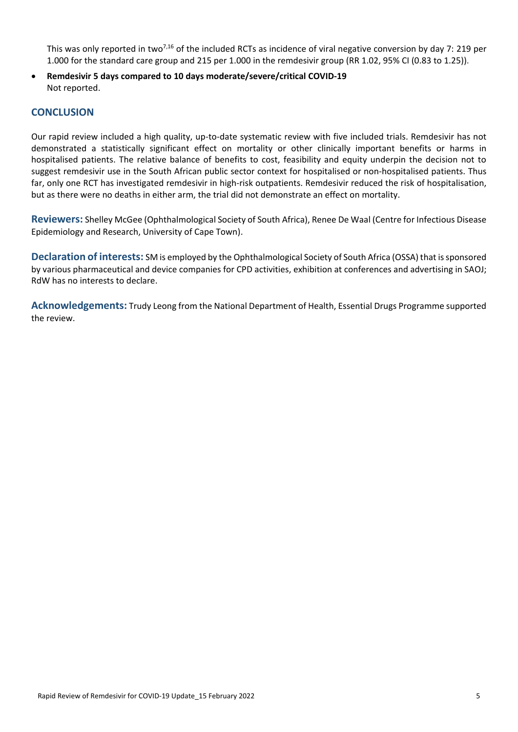This was only reported in two<sup>7,16</sup> of the included RCTs as incidence of viral negative conversion by day 7: 219 per 1.000 for the standard care group and 215 per 1.000 in the remdesivir group (RR 1.02, 95% CI (0.83 to 1.25)).

 **Remdesivir 5 days compared to 10 days moderate/severe/critical COVID-19** Not reported.

# **CONCLUSION**

Our rapid review included a high quality, up-to-date systematic review with five included trials. Remdesivir has not demonstrated a statistically significant effect on mortality or other clinically important benefits or harms in hospitalised patients. The relative balance of benefits to cost, feasibility and equity underpin the decision not to suggest remdesivir use in the South African public sector context for hospitalised or non-hospitalised patients. Thus far, only one RCT has investigated remdesivir in high-risk outpatients. Remdesivir reduced the risk of hospitalisation, but as there were no deaths in either arm, the trial did not demonstrate an effect on mortality.

**Reviewers:** Shelley McGee (Ophthalmological Society of South Africa), Renee De Waal (Centre for Infectious Disease Epidemiology and Research, University of Cape Town).

**Declaration of interests:** SM is employed by the Ophthalmological Society of South Africa (OSSA) that is sponsored by various pharmaceutical and device companies for CPD activities, exhibition at conferences and advertising in SAOJ; RdW has no interests to declare.

**Acknowledgements:** Trudy Leong from the National Department of Health, Essential Drugs Programme supported the review.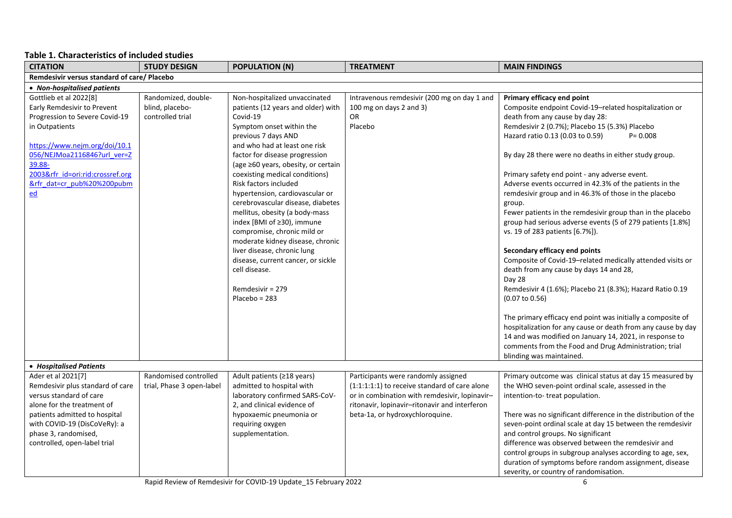## **Table 1. Characteristics of included studies**

| <b>CITATION</b>                                                                                                                                                                                                                                       | <b>STUDY DESIGN</b>                                        | <b>POPULATION (N)</b>                                                                                                                                                                                                                                                                                                                                                                                                                                                                                                                                                                                                                           | <b>TREATMENT</b>                                                                                                                                                                                                          | <b>MAIN FINDINGS</b>                                                                                                                                                                                                                                                                                                                                                                                                                                                                                                                                                                                                                                                                                                                                                                                                                                                              |
|-------------------------------------------------------------------------------------------------------------------------------------------------------------------------------------------------------------------------------------------------------|------------------------------------------------------------|-------------------------------------------------------------------------------------------------------------------------------------------------------------------------------------------------------------------------------------------------------------------------------------------------------------------------------------------------------------------------------------------------------------------------------------------------------------------------------------------------------------------------------------------------------------------------------------------------------------------------------------------------|---------------------------------------------------------------------------------------------------------------------------------------------------------------------------------------------------------------------------|-----------------------------------------------------------------------------------------------------------------------------------------------------------------------------------------------------------------------------------------------------------------------------------------------------------------------------------------------------------------------------------------------------------------------------------------------------------------------------------------------------------------------------------------------------------------------------------------------------------------------------------------------------------------------------------------------------------------------------------------------------------------------------------------------------------------------------------------------------------------------------------|
| Remdesivir versus standard of care/ Placebo                                                                                                                                                                                                           |                                                            |                                                                                                                                                                                                                                                                                                                                                                                                                                                                                                                                                                                                                                                 |                                                                                                                                                                                                                           |                                                                                                                                                                                                                                                                                                                                                                                                                                                                                                                                                                                                                                                                                                                                                                                                                                                                                   |
| • Non-hospitalised patients                                                                                                                                                                                                                           |                                                            |                                                                                                                                                                                                                                                                                                                                                                                                                                                                                                                                                                                                                                                 |                                                                                                                                                                                                                           |                                                                                                                                                                                                                                                                                                                                                                                                                                                                                                                                                                                                                                                                                                                                                                                                                                                                                   |
| Gottlieb et al 2022[8]<br>Early Remdesivir to Prevent<br>Progression to Severe Covid-19<br>in Outpatients<br>https://www.nejm.org/doi/10.1<br>056/NEJMoa2116846?url ver=Z<br>39.88-<br>2003𝔯_id=ori:rid:crossref.org<br>𝔯 dat=cr pub%20%200pubm<br>ed | Randomized, double-<br>blind, placebo-<br>controlled trial | Non-hospitalized unvaccinated<br>patients (12 years and older) with<br>Covid-19<br>Symptom onset within the<br>previous 7 days AND<br>and who had at least one risk<br>factor for disease progression<br>(age ≥60 years, obesity, or certain<br>coexisting medical conditions)<br>Risk factors included<br>hypertension, cardiovascular or<br>cerebrovascular disease, diabetes<br>mellitus, obesity (a body-mass<br>index [BMI of ≥30), immune<br>compromise, chronic mild or<br>moderate kidney disease, chronic<br>liver disease, chronic lung<br>disease, current cancer, or sickle<br>cell disease.<br>Remdesivir = 279<br>$Placebo = 283$ | Intravenous remdesivir (200 mg on day 1 and<br>100 mg on days 2 and 3)<br>OR<br>Placebo                                                                                                                                   | Primary efficacy end point<br>Composite endpoint Covid-19-related hospitalization or<br>death from any cause by day 28:<br>Remdesivir 2 (0.7%); Placebo 15 (5.3%) Placebo<br>Hazard ratio 0.13 (0.03 to 0.59)<br>$P = 0.008$<br>By day 28 there were no deaths in either study group.<br>Primary safety end point - any adverse event.<br>Adverse events occurred in 42.3% of the patients in the<br>remdesivir group and in 46.3% of those in the placebo<br>group.<br>Fewer patients in the remdesivir group than in the placebo<br>group had serious adverse events (5 of 279 patients [1.8%]<br>vs. 19 of 283 patients [6.7%]).<br>Secondary efficacy end points<br>Composite of Covid-19-related medically attended visits or<br>death from any cause by days 14 and 28,<br>Day 28<br>Remdesivir 4 (1.6%); Placebo 21 (8.3%); Hazard Ratio 0.19<br>$(0.07 \text{ to } 0.56)$ |
|                                                                                                                                                                                                                                                       |                                                            |                                                                                                                                                                                                                                                                                                                                                                                                                                                                                                                                                                                                                                                 |                                                                                                                                                                                                                           | The primary efficacy end point was initially a composite of<br>hospitalization for any cause or death from any cause by day<br>14 and was modified on January 14, 2021, in response to<br>comments from the Food and Drug Administration; trial<br>blinding was maintained.                                                                                                                                                                                                                                                                                                                                                                                                                                                                                                                                                                                                       |
| • Hospitalised Patients                                                                                                                                                                                                                               |                                                            |                                                                                                                                                                                                                                                                                                                                                                                                                                                                                                                                                                                                                                                 |                                                                                                                                                                                                                           |                                                                                                                                                                                                                                                                                                                                                                                                                                                                                                                                                                                                                                                                                                                                                                                                                                                                                   |
| Ader et al 2021[7]<br>Remdesivir plus standard of care<br>versus standard of care<br>alone for the treatment of<br>patients admitted to hospital<br>with COVID-19 (DisCoVeRy): a<br>phase 3, randomised,<br>controlled, open-label trial              | Randomised controlled<br>trial, Phase 3 open-label         | Adult patients (≥18 years)<br>admitted to hospital with<br>laboratory confirmed SARS-CoV-<br>2, and clinical evidence of<br>hypoxaemic pneumonia or<br>requiring oxygen<br>supplementation.                                                                                                                                                                                                                                                                                                                                                                                                                                                     | Participants were randomly assigned<br>(1:1:1:1:1) to receive standard of care alone<br>or in combination with remdesivir, lopinavir-<br>ritonavir, lopinavir-ritonavir and interferon<br>beta-1a, or hydroxychloroquine. | Primary outcome was clinical status at day 15 measured by<br>the WHO seven-point ordinal scale, assessed in the<br>intention-to-treat population.<br>There was no significant difference in the distribution of the<br>seven-point ordinal scale at day 15 between the remdesivir<br>and control groups. No significant<br>difference was observed between the remdesivir and<br>control groups in subgroup analyses according to age, sex,<br>duration of symptoms before random assignment, disease<br>severity, or country of randomisation.                                                                                                                                                                                                                                                                                                                                   |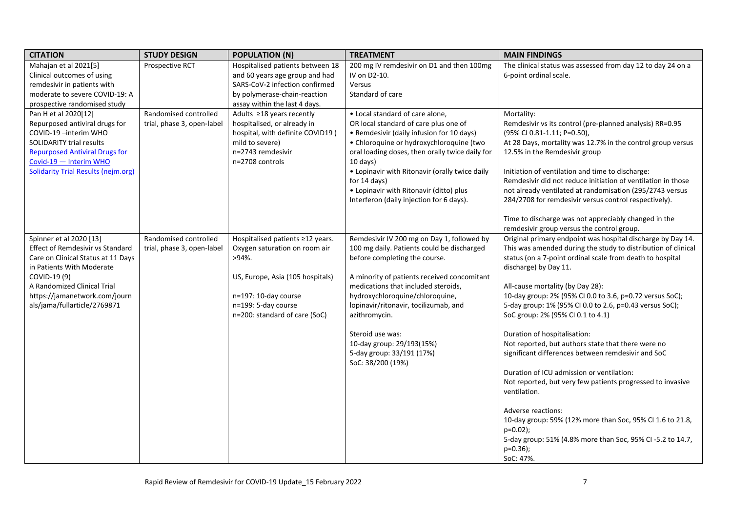| <b>CITATION</b>                            | <b>STUDY DESIGN</b>        | <b>POPULATION (N)</b>             | <b>TREATMENT</b>                                | <b>MAIN FINDINGS</b>                                          |
|--------------------------------------------|----------------------------|-----------------------------------|-------------------------------------------------|---------------------------------------------------------------|
| Mahajan et al 2021[5]                      | Prospective RCT            | Hospitalised patients between 18  | 200 mg IV remdesivir on D1 and then 100mg       | The clinical status was assessed from day 12 to day 24 on a   |
| Clinical outcomes of using                 |                            | and 60 years age group and had    | IV on D2-10.                                    | 6-point ordinal scale.                                        |
| remdesivir in patients with                |                            | SARS-CoV-2 infection confirmed    | Versus                                          |                                                               |
| moderate to severe COVID-19: A             |                            | by polymerase-chain-reaction      | Standard of care                                |                                                               |
| prospective randomised study               |                            | assay within the last 4 days.     |                                                 |                                                               |
| Pan H et al 2020[12]                       | Randomised controlled      | Adults ≥18 years recently         | • Local standard of care alone,                 | Mortality:                                                    |
| Repurposed antiviral drugs for             | trial, phase 3, open-label | hospitalised, or already in       | OR local standard of care plus one of           | Remdesivir vs its control (pre-planned analysis) RR=0.95      |
| COVID-19-interim WHO                       |                            | hospital, with definite COVID19 ( | • Remdesivir (daily infusion for 10 days)       | (95% CI 0.81-1.11; P=0.50),                                   |
| <b>SOLIDARITY trial results</b>            |                            | mild to severe)                   | • Chloroquine or hydroxychloroquine (two        | At 28 Days, mortality was 12.7% in the control group versus   |
| <b>Repurposed Antiviral Drugs for</b>      |                            | n=2743 remdesivir                 | oral loading doses, then orally twice daily for | 12.5% in the Remdesivir group                                 |
| Covid-19 - Interim WHO                     |                            | n=2708 controls                   | $10$ days)                                      |                                                               |
| <b>Solidarity Trial Results (nejm.org)</b> |                            |                                   | • Lopinavir with Ritonavir (orally twice daily  | Initiation of ventilation and time to discharge:              |
|                                            |                            |                                   | for $14$ days)                                  | Remdesivir did not reduce initiation of ventilation in those  |
|                                            |                            |                                   | • Lopinavir with Ritonavir (ditto) plus         | not already ventilated at randomisation (295/2743 versus      |
|                                            |                            |                                   | Interferon (daily injection for 6 days).        | 284/2708 for remdesivir versus control respectively).         |
|                                            |                            |                                   |                                                 |                                                               |
|                                            |                            |                                   |                                                 | Time to discharge was not appreciably changed in the          |
|                                            |                            |                                   |                                                 | remdesivir group versus the control group.                    |
| Spinner et al 2020 [13]                    | Randomised controlled      | Hospitalised patients ≥12 years.  | Remdesivir IV 200 mg on Day 1, followed by      | Original primary endpoint was hospital discharge by Day 14.   |
| <b>Effect of Remdesivir vs Standard</b>    | trial, phase 3, open-label | Oxygen saturation on room air     | 100 mg daily. Patients could be discharged      | This was amended during the study to distribution of clinical |
| Care on Clinical Status at 11 Days         |                            | $>94\%$ .                         | before completing the course.                   | status (on a 7-point ordinal scale from death to hospital     |
| in Patients With Moderate                  |                            |                                   |                                                 | discharge) by Day 11.                                         |
| COVID-19 (9)                               |                            | US, Europe, Asia (105 hospitals)  | A minority of patients received concomitant     |                                                               |
| A Randomized Clinical Trial                |                            |                                   | medications that included steroids,             | All-cause mortality (by Day 28):                              |
| https://jamanetwork.com/journ              |                            | n=197: 10-day course              | hydroxychloroquine/chloroquine,                 | 10-day group: 2% (95% CI 0.0 to 3.6, p=0.72 versus SoC);      |
| als/jama/fullarticle/2769871               |                            | n=199: 5-day course               | lopinavir/ritonavir, tocilizumab, and           | 5-day group: 1% (95% CI 0.0 to 2.6, p=0.43 versus SoC);       |
|                                            |                            | n=200: standard of care (SoC)     | azithromycin.                                   | SoC group: 2% (95% CI 0.1 to 4.1)                             |
|                                            |                            |                                   | Steroid use was:                                | Duration of hospitalisation:                                  |
|                                            |                            |                                   | 10-day group: 29/193(15%)                       | Not reported, but authors state that there were no            |
|                                            |                            |                                   | 5-day group: 33/191 (17%)                       | significant differences between remdesivir and SoC            |
|                                            |                            |                                   | SoC: 38/200 (19%)                               |                                                               |
|                                            |                            |                                   |                                                 | Duration of ICU admission or ventilation:                     |
|                                            |                            |                                   |                                                 | Not reported, but very few patients progressed to invasive    |
|                                            |                            |                                   |                                                 | ventilation.                                                  |
|                                            |                            |                                   |                                                 |                                                               |
|                                            |                            |                                   |                                                 | Adverse reactions:                                            |
|                                            |                            |                                   |                                                 | 10-day group: 59% (12% more than Soc, 95% CI 1.6 to 21.8,     |
|                                            |                            |                                   |                                                 | $p=0.02$ );                                                   |
|                                            |                            |                                   |                                                 | 5-day group: 51% (4.8% more than Soc, 95% CI-5.2 to 14.7,     |
|                                            |                            |                                   |                                                 | $p=0.36$ ;                                                    |
|                                            |                            |                                   |                                                 | SoC: 47%.                                                     |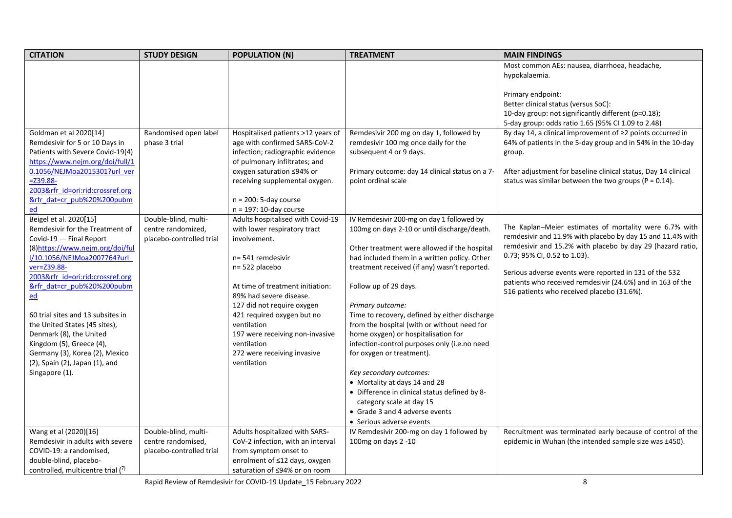| <b>CITATION</b>                                                                                                                                                                                                                                                                                                                                                                          | <b>STUDY DESIGN</b>                                                                                              | <b>POPULATION (N)</b>                                                                                                                                                                                                                                                                                                                                 | <b>TREATMENT</b>                                                                                                                                                                                                                                                                                                                                                                                                                                                                                                                                                                                                     | <b>MAIN FINDINGS</b>                                                                                                                                                                                                                                                                                                                                                                                                                                                                                                                                                       |
|------------------------------------------------------------------------------------------------------------------------------------------------------------------------------------------------------------------------------------------------------------------------------------------------------------------------------------------------------------------------------------------|------------------------------------------------------------------------------------------------------------------|-------------------------------------------------------------------------------------------------------------------------------------------------------------------------------------------------------------------------------------------------------------------------------------------------------------------------------------------------------|----------------------------------------------------------------------------------------------------------------------------------------------------------------------------------------------------------------------------------------------------------------------------------------------------------------------------------------------------------------------------------------------------------------------------------------------------------------------------------------------------------------------------------------------------------------------------------------------------------------------|----------------------------------------------------------------------------------------------------------------------------------------------------------------------------------------------------------------------------------------------------------------------------------------------------------------------------------------------------------------------------------------------------------------------------------------------------------------------------------------------------------------------------------------------------------------------------|
|                                                                                                                                                                                                                                                                                                                                                                                          |                                                                                                                  |                                                                                                                                                                                                                                                                                                                                                       |                                                                                                                                                                                                                                                                                                                                                                                                                                                                                                                                                                                                                      | Most common AEs: nausea, diarrhoea, headache,                                                                                                                                                                                                                                                                                                                                                                                                                                                                                                                              |
|                                                                                                                                                                                                                                                                                                                                                                                          |                                                                                                                  |                                                                                                                                                                                                                                                                                                                                                       |                                                                                                                                                                                                                                                                                                                                                                                                                                                                                                                                                                                                                      | hypokalaemia.                                                                                                                                                                                                                                                                                                                                                                                                                                                                                                                                                              |
| Goldman et al 2020[14]<br>Remdesivir for 5 or 10 Days in<br>Patients with Severe Covid-19(4)<br>https://www.nejm.org/doi/full/1<br>0.1056/NEJMoa2015301?url ver<br>$= 239.88 -$<br>2003𝔯_id=ori:rid:crossref.org<br>𝔯 dat=cr pub%20%200pubm<br>ed<br>Beigel et al. 2020[15]<br>Remdesivir for the Treatment of<br>Covid-19 - Final Report                                                | Randomised open label<br>phase 3 trial<br>Double-blind, multi-<br>centre randomized,<br>placebo-controlled trial | Hospitalised patients >12 years of<br>age with confirmed SARS-CoV-2<br>infection; radiographic evidence<br>of pulmonary infiltrates; and<br>oxygen saturation ≤94% or<br>receiving supplemental oxygen.<br>$n = 200$ : 5-day course<br>$n = 197: 10$ -day course<br>Adults hospitalised with Covid-19<br>with lower respiratory tract<br>involvement. | Remdesivir 200 mg on day 1, followed by<br>remdesivir 100 mg once daily for the<br>subsequent 4 or 9 days.<br>Primary outcome: day 14 clinical status on a 7-<br>point ordinal scale<br>IV Remdesivir 200-mg on day 1 followed by<br>100mg on days 2-10 or until discharge/death.                                                                                                                                                                                                                                                                                                                                    | Primary endpoint:<br>Better clinical status (versus SoC):<br>10-day group: not significantly different (p=0.18);<br>5-day group: odds ratio 1.65 (95% CI 1.09 to 2.48)<br>By day 14, a clinical improvement of $\geq$ 2 points occurred in<br>64% of patients in the 5-day group and in 54% in the 10-day<br>group.<br>After adjustment for baseline clinical status, Day 14 clinical<br>status was similar between the two groups ( $P = 0.14$ ).<br>The Kaplan–Meier estimates of mortality were 6.7% with<br>remdesivir and 11.9% with placebo by day 15 and 11.4% with |
| (8) https://www.nejm.org/doi/ful<br>l/10.1056/NEJMoa2007764?url<br>ver=Z39.88-<br>2003𝔯_id=ori:rid:crossref.org<br>𝔯 dat=cr pub%20%200pubm<br>$\underline{\text{ed}}$<br>60 trial sites and 13 subsites in<br>the United States (45 sites),<br>Denmark (8), the United<br>Kingdom (5), Greece (4),<br>Germany (3), Korea (2), Mexico<br>(2), Spain (2), Japan (1), and<br>Singapore (1). |                                                                                                                  | n= 541 remdesivir<br>n= 522 placebo<br>At time of treatment initiation:<br>89% had severe disease.<br>127 did not require oxygen<br>421 required oxygen but no<br>ventilation<br>197 were receiving non-invasive<br>ventilation<br>272 were receiving invasive<br>ventilation                                                                         | Other treatment were allowed if the hospital<br>had included them in a written policy. Other<br>treatment received (if any) wasn't reported.<br>Follow up of 29 days.<br>Primary outcome:<br>Time to recovery, defined by either discharge<br>from the hospital (with or without need for<br>home oxygen) or hospitalisation for<br>infection-control purposes only (i.e.no need<br>for oxygen or treatment).<br>Key secondary outcomes:<br>• Mortality at days 14 and 28<br>• Difference in clinical status defined by 8-<br>category scale at day 15<br>• Grade 3 and 4 adverse events<br>• Serious adverse events | remdesivir and 15.2% with placebo by day 29 (hazard ratio,<br>0.73; 95% CI, 0.52 to 1.03).<br>Serious adverse events were reported in 131 of the 532<br>patients who received remdesivir (24.6%) and in 163 of the<br>516 patients who received placebo (31.6%).                                                                                                                                                                                                                                                                                                           |
| Wang et al (2020)[16]<br>Remdesivir in adults with severe                                                                                                                                                                                                                                                                                                                                | Double-blind, multi-<br>centre randomised,                                                                       | Adults hospitalized with SARS-<br>CoV-2 infection, with an interval                                                                                                                                                                                                                                                                                   | IV Remdesivir 200-mg on day 1 followed by<br>100mg on days 2 -10                                                                                                                                                                                                                                                                                                                                                                                                                                                                                                                                                     | Recruitment was terminated early because of control of the<br>epidemic in Wuhan (the intended sample size was ±450).                                                                                                                                                                                                                                                                                                                                                                                                                                                       |
| COVID-19: a randomised,                                                                                                                                                                                                                                                                                                                                                                  | placebo-controlled trial                                                                                         | from symptom onset to                                                                                                                                                                                                                                                                                                                                 |                                                                                                                                                                                                                                                                                                                                                                                                                                                                                                                                                                                                                      |                                                                                                                                                                                                                                                                                                                                                                                                                                                                                                                                                                            |
| double-blind, placebo-                                                                                                                                                                                                                                                                                                                                                                   |                                                                                                                  | enrolment of ≤12 days, oxygen                                                                                                                                                                                                                                                                                                                         |                                                                                                                                                                                                                                                                                                                                                                                                                                                                                                                                                                                                                      |                                                                                                                                                                                                                                                                                                                                                                                                                                                                                                                                                                            |
| controlled, multicentre trial (7)                                                                                                                                                                                                                                                                                                                                                        |                                                                                                                  | saturation of ≤94% or on room                                                                                                                                                                                                                                                                                                                         |                                                                                                                                                                                                                                                                                                                                                                                                                                                                                                                                                                                                                      |                                                                                                                                                                                                                                                                                                                                                                                                                                                                                                                                                                            |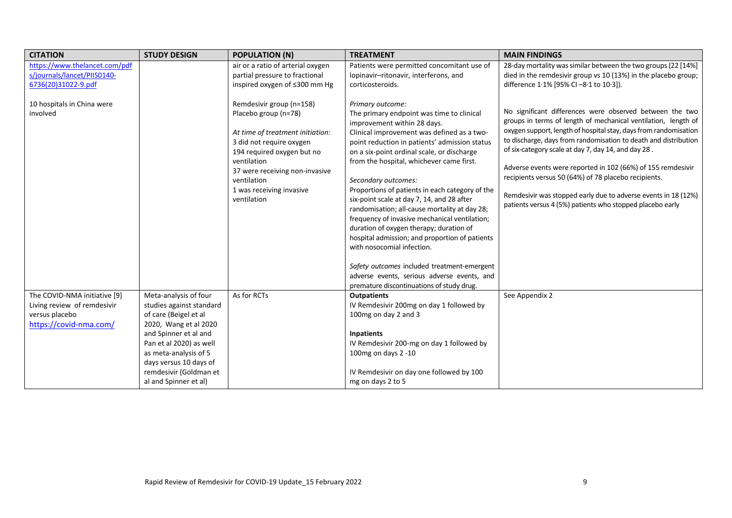| <b>CITATION</b>                                                                                                              | <b>STUDY DESIGN</b>      | <b>POPULATION (N)</b>                                                                                                                                                                                                                                                                                                                       | <b>TREATMENT</b>                                                                                                                                                                                                                                                                                                                                                                                                                                                                                                                                                                                                                                                                                                                                                                                                                                                         | <b>MAIN FINDINGS</b>                                                                                                                                                                                                                                                                                                                                                                                                                                                                                                                                                                                                                                                                                         |
|------------------------------------------------------------------------------------------------------------------------------|--------------------------|---------------------------------------------------------------------------------------------------------------------------------------------------------------------------------------------------------------------------------------------------------------------------------------------------------------------------------------------|--------------------------------------------------------------------------------------------------------------------------------------------------------------------------------------------------------------------------------------------------------------------------------------------------------------------------------------------------------------------------------------------------------------------------------------------------------------------------------------------------------------------------------------------------------------------------------------------------------------------------------------------------------------------------------------------------------------------------------------------------------------------------------------------------------------------------------------------------------------------------|--------------------------------------------------------------------------------------------------------------------------------------------------------------------------------------------------------------------------------------------------------------------------------------------------------------------------------------------------------------------------------------------------------------------------------------------------------------------------------------------------------------------------------------------------------------------------------------------------------------------------------------------------------------------------------------------------------------|
| https://www.thelancet.com/pdf                                                                                                |                          | air or a ratio of arterial oxygen                                                                                                                                                                                                                                                                                                           | Patients were permitted concomitant use of                                                                                                                                                                                                                                                                                                                                                                                                                                                                                                                                                                                                                                                                                                                                                                                                                               | 28-day mortality was similar between the two groups (22 [14%]                                                                                                                                                                                                                                                                                                                                                                                                                                                                                                                                                                                                                                                |
|                                                                                                                              |                          |                                                                                                                                                                                                                                                                                                                                             |                                                                                                                                                                                                                                                                                                                                                                                                                                                                                                                                                                                                                                                                                                                                                                                                                                                                          |                                                                                                                                                                                                                                                                                                                                                                                                                                                                                                                                                                                                                                                                                                              |
|                                                                                                                              |                          |                                                                                                                                                                                                                                                                                                                                             |                                                                                                                                                                                                                                                                                                                                                                                                                                                                                                                                                                                                                                                                                                                                                                                                                                                                          |                                                                                                                                                                                                                                                                                                                                                                                                                                                                                                                                                                                                                                                                                                              |
| s/journals/lancet/PIIS0140-<br>6736(20)31022-9.pdf<br>10 hospitals in China were<br>involved<br>The COVID-NMA initiative [9] | Meta-analysis of four    | partial pressure to fractional<br>inspired oxygen of ≤300 mm Hg<br>Remdesivir group (n=158)<br>Placebo group (n=78)<br>At time of treatment initiation:<br>3 did not require oxygen<br>194 required oxygen but no<br>ventilation<br>37 were receiving non-invasive<br>ventilation<br>1 was receiving invasive<br>ventilation<br>As for RCTs | lopinavir-ritonavir, interferons, and<br>corticosteroids.<br>Primary outcome:<br>The primary endpoint was time to clinical<br>improvement within 28 days.<br>Clinical improvement was defined as a two-<br>point reduction in patients' admission status<br>on a six-point ordinal scale, or discharge<br>from the hospital, whichever came first.<br>Secondary outcomes:<br>Proportions of patients in each category of the<br>six-point scale at day 7, 14, and 28 after<br>randomisation; all-cause mortality at day 28;<br>frequency of invasive mechanical ventilation;<br>duration of oxygen therapy; duration of<br>hospital admission; and proportion of patients<br>with nosocomial infection.<br>Safety outcomes included treatment-emergent<br>adverse events, serious adverse events, and<br>premature discontinuations of study drug.<br><b>Outpatients</b> | died in the remdesivir group vs 10 (13%) in the placebo group;<br>difference 1.1% [95% CI-8.1 to 10.3]).<br>No significant differences were observed between the two<br>groups in terms of length of mechanical ventilation, length of<br>oxygen support, length of hospital stay, days from randomisation<br>to discharge, days from randomisation to death and distribution<br>of six-category scale at day 7, day 14, and day 28.<br>Adverse events were reported in 102 (66%) of 155 remdesivir<br>recipients versus 50 (64%) of 78 placebo recipients.<br>Remdesivir was stopped early due to adverse events in 18 (12%)<br>patients versus 4 (5%) patients who stopped placebo early<br>See Appendix 2 |
| Living review of remdesivir                                                                                                  | studies against standard |                                                                                                                                                                                                                                                                                                                                             | IV Remdesivir 200mg on day 1 followed by                                                                                                                                                                                                                                                                                                                                                                                                                                                                                                                                                                                                                                                                                                                                                                                                                                 |                                                                                                                                                                                                                                                                                                                                                                                                                                                                                                                                                                                                                                                                                                              |
| versus placebo                                                                                                               | of care (Beigel et al    |                                                                                                                                                                                                                                                                                                                                             | 100mg on day 2 and 3                                                                                                                                                                                                                                                                                                                                                                                                                                                                                                                                                                                                                                                                                                                                                                                                                                                     |                                                                                                                                                                                                                                                                                                                                                                                                                                                                                                                                                                                                                                                                                                              |
| https://covid-nma.com/                                                                                                       | 2020, Wang et al 2020    |                                                                                                                                                                                                                                                                                                                                             |                                                                                                                                                                                                                                                                                                                                                                                                                                                                                                                                                                                                                                                                                                                                                                                                                                                                          |                                                                                                                                                                                                                                                                                                                                                                                                                                                                                                                                                                                                                                                                                                              |
|                                                                                                                              | and Spinner et al and    |                                                                                                                                                                                                                                                                                                                                             | <b>Inpatients</b>                                                                                                                                                                                                                                                                                                                                                                                                                                                                                                                                                                                                                                                                                                                                                                                                                                                        |                                                                                                                                                                                                                                                                                                                                                                                                                                                                                                                                                                                                                                                                                                              |
|                                                                                                                              | Pan et al 2020) as well  |                                                                                                                                                                                                                                                                                                                                             | IV Remdesivir 200-mg on day 1 followed by                                                                                                                                                                                                                                                                                                                                                                                                                                                                                                                                                                                                                                                                                                                                                                                                                                |                                                                                                                                                                                                                                                                                                                                                                                                                                                                                                                                                                                                                                                                                                              |
|                                                                                                                              | as meta-analysis of 5    |                                                                                                                                                                                                                                                                                                                                             | 100mg on days 2 -10                                                                                                                                                                                                                                                                                                                                                                                                                                                                                                                                                                                                                                                                                                                                                                                                                                                      |                                                                                                                                                                                                                                                                                                                                                                                                                                                                                                                                                                                                                                                                                                              |
|                                                                                                                              | days versus 10 days of   |                                                                                                                                                                                                                                                                                                                                             |                                                                                                                                                                                                                                                                                                                                                                                                                                                                                                                                                                                                                                                                                                                                                                                                                                                                          |                                                                                                                                                                                                                                                                                                                                                                                                                                                                                                                                                                                                                                                                                                              |
|                                                                                                                              | remdesivir (Goldman et   |                                                                                                                                                                                                                                                                                                                                             | IV Remdesivir on day one followed by 100                                                                                                                                                                                                                                                                                                                                                                                                                                                                                                                                                                                                                                                                                                                                                                                                                                 |                                                                                                                                                                                                                                                                                                                                                                                                                                                                                                                                                                                                                                                                                                              |
|                                                                                                                              | al and Spinner et al)    |                                                                                                                                                                                                                                                                                                                                             | mg on days 2 to 5                                                                                                                                                                                                                                                                                                                                                                                                                                                                                                                                                                                                                                                                                                                                                                                                                                                        |                                                                                                                                                                                                                                                                                                                                                                                                                                                                                                                                                                                                                                                                                                              |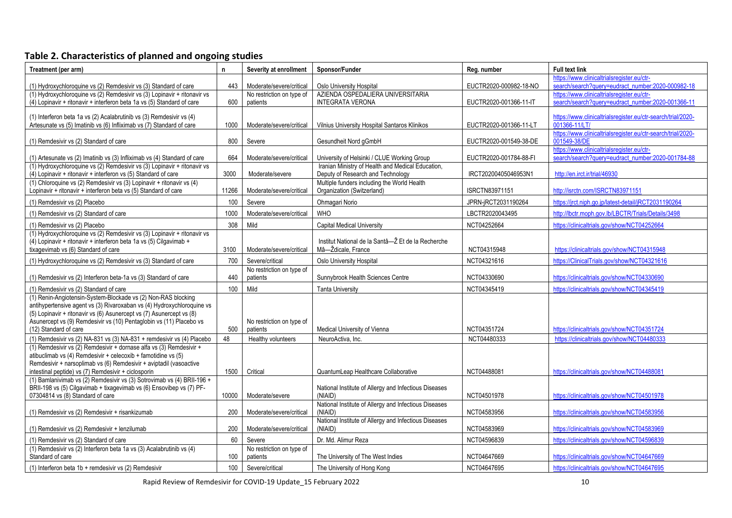# **Table 2. Characteristics of planned and ongoing studies**

| Treatment (per arm)                                                                                                                                                                                                                                                                                             | $\mathsf{n}$ | Severity at enrollment                | Sponsor/Funder                                                                         | Reg. number            | <b>Full text link</b>                                                                           |
|-----------------------------------------------------------------------------------------------------------------------------------------------------------------------------------------------------------------------------------------------------------------------------------------------------------------|--------------|---------------------------------------|----------------------------------------------------------------------------------------|------------------------|-------------------------------------------------------------------------------------------------|
| (1) Hydroxychloroquine vs (2) Remdesivir vs (3) Standard of care                                                                                                                                                                                                                                                | 443          | Moderate/severe/critical              | Oslo University Hospital                                                               | EUCTR2020-000982-18-NO | https://www.clinicaltrialsregister.eu/ctr-<br>search/search?query=eudract_number:2020-000982-18 |
| (1) Hydroxychloroquine vs (2) Remdesivir vs (3) Lopinavir + ritonavir vs<br>(4) Lopinavir + ritonavir + interferon beta 1a vs (5) Standard of care                                                                                                                                                              | 600          | No restriction on type of<br>patients | AZIENDA OSPEDALIERA UNIVERSITARIA<br><b>INTEGRATA VERONA</b>                           | EUCTR2020-001366-11-IT | https://www.clinicaltrialsregister.eu/ctr-<br>search/search?query=eudract_number:2020-001366-11 |
| (1) Interferon beta 1a vs (2) Acalabrutinib vs (3) Remdesivir vs (4)                                                                                                                                                                                                                                            |              |                                       |                                                                                        |                        | https://www.clinicaltrialsregister.eu/ctr-search/trial/2020-                                    |
| Artesunate vs (5) Imatinib vs (6) Infliximab vs (7) Standard of care                                                                                                                                                                                                                                            | 1000         | Moderate/severe/critical              | Vilnius University Hospital Santaros Klinikos                                          | EUCTR2020-001366-11-LT | 001366-11/LT/                                                                                   |
| (1) Remdesivir vs (2) Standard of care                                                                                                                                                                                                                                                                          | 800          | Severe                                | Gesundheit Nord gGmbH                                                                  | EUCTR2020-001549-38-DE | https://www.clinicaltrialsregister.eu/ctr-search/trial/2020-<br>001549-38/DE                    |
| (1) Artesunate vs (2) Imatinib vs (3) Infliximab vs (4) Standard of care                                                                                                                                                                                                                                        | 664          | Moderate/severe/critical              | University of Helsinki / CLUE Working Group                                            | EUCTR2020-001784-88-FI | https://www.clinicaltrialsregister.eu/ctr-<br>search/search?query=eudract_number:2020-001784-88 |
| (1) Hydroxychloroquine vs (2) Remdesivir vs (3) Lopinavir + ritonavir vs<br>(4) Lopinavir + ritonavir + interferon vs (5) Standard of care                                                                                                                                                                      | 3000         | Moderate/severe                       | Iranian Ministry of Health and Medical Education,<br>Deputy of Research and Technology | IRCT20200405046953N1   | http://en.irct.ir/trial/46930                                                                   |
| (1) Chloroquine vs (2) Remdesivir vs (3) Lopinavir + ritonavir vs (4)<br>Lopinavir + ritonavir + interferon beta vs (5) Standard of care                                                                                                                                                                        | 11266        | Moderate/severe/critical              | Multiple funders including the World Health<br>Organization (Switzerland)              | ISRCTN83971151         | http://isrctn.com/ISRCTN83971151                                                                |
| (1) Remdesivir vs (2) Placebo                                                                                                                                                                                                                                                                                   | 100          | Severe                                | Ohmagari Norio                                                                         | JPRN-jRCT2031190264    | https://jrct.niph.go.jp/latest-detail/jRCT2031190264                                            |
| (1) Remdesivir vs (2) Standard of care                                                                                                                                                                                                                                                                          | 1000         | Moderate/severe/critical              | <b>WHO</b>                                                                             | LBCTR2020043495        | http://lbctr.moph.gov.lb/LBCTR/Trials/Details/3498                                              |
| (1) Remdesivir vs (2) Placebo                                                                                                                                                                                                                                                                                   | 308          | Mild                                  | Capital Medical University                                                             | NCT04252664            | https://clinicaltrials.gov/show/NCT04252664                                                     |
| (1) Hydroxychloroquine vs (2) Remdesivir vs (3) Lopinavir + ritonavir vs<br>(4) Lopinavir + ritonavir + interferon beta 1a vs (5) Cilgavimab +<br>tixagevimab vs (6) Standard of care                                                                                                                           | 3100         | Moderate/severe/critical              | Institut National de la Santâ-Ž Et de la Recherche<br>Mâ-Ždicale, France               | NCT04315948            | https://clinicaltrials.gov/show/NCT04315948                                                     |
| (1) Hydroxychloroquine vs (2) Remdesivir vs (3) Standard of care                                                                                                                                                                                                                                                | 700          | Severe/critical                       | <b>Oslo University Hospital</b>                                                        | NCT04321616            | https://ClinicalTrials.gov/show/NCT04321616                                                     |
| (1) Remdesivir vs (2) Interferon beta-1a vs (3) Standard of care                                                                                                                                                                                                                                                | 440          | No restriction on type of<br>patients | Sunnybrook Health Sciences Centre                                                      | NCT04330690            | https://clinicaltrials.gov/show/NCT04330690                                                     |
| (1) Remdesivir vs (2) Standard of care                                                                                                                                                                                                                                                                          | 100          | Mild                                  | <b>Tanta University</b>                                                                | NCT04345419            | https://clinicaltrials.gov/show/NCT04345419                                                     |
| (1) Renin-Angiotensin-System-Blockade vs (2) Non-RAS blocking<br>antihypertensive agent vs (3) Rivaroxaban vs (4) Hydroxychloroquine vs<br>(5) Lopinavir + ritonavir vs (6) Asunercept vs (7) Asunercept vs (8)<br>Asunercept vs (9) Remdesivir vs (10) Pentaglobin vs (11) Placebo vs<br>(12) Standard of care | 500          | No restriction on type of<br>patients | Medical University of Vienna                                                           | NCT04351724            | https://clinicaltrials.gov/show/NCT04351724                                                     |
| (1) Remdesivir vs (2) NA-831 vs (3) NA-831 + remdesivir vs (4) Placebo                                                                                                                                                                                                                                          | 48           | Healthy volunteers                    | NeuroActiva, Inc.                                                                      | NCT04480333            | https://clinicaltrials.gov/show/NCT04480333                                                     |
| (1) Remdesivir vs (2) Remdesivir + dornase alfa vs (3) Remdesivir +<br>atibuclimab vs (4) Remdesivir + celecoxib + famotidine vs (5)<br>Remdesivir + narsoplimab vs (6) Remdesivir + aviptadil (vasoactive<br>intestinal peptide) vs (7) Remdesivir + ciclosporin                                               | 1500         | Critical                              | QuantumLeap Healthcare Collaborative                                                   | NCT04488081            | https://clinicaltrials.gov/show/NCT04488081                                                     |
| (1) Bamlanivimab vs (2) Remdesivir vs (3) Sotrovimab vs (4) BRII-196 +<br>BRII-198 vs (5) Cilgavimab + tixagevimab vs (6) Ensovibep vs (7) PF-<br>07304814 vs (8) Standard of care                                                                                                                              | 10000        | Moderate/severe                       | National Institute of Allergy and Infectious Diseases<br>(NIAID)                       | NCT04501978            | https://clinicaltrials.gov/show/NCT04501978                                                     |
| (1) Remdesivir vs (2) Remdesivir + risankizumab                                                                                                                                                                                                                                                                 | 200          | Moderate/severe/critical              | National Institute of Allergy and Infectious Diseases<br>(NIAID)                       | NCT04583956            | https://clinicaltrials.gov/show/NCT04583956                                                     |
| (1) Remdesivir vs (2) Remdesivir + lenzilumab                                                                                                                                                                                                                                                                   | 200          | Moderate/severe/critical              | National Institute of Allergy and Infectious Diseases<br>(NIAID)                       | NCT04583969            | https://clinicaltrials.gov/show/NCT04583969                                                     |
| (1) Remdesivir vs (2) Standard of care                                                                                                                                                                                                                                                                          | 60           | Severe                                | Dr. Md. Alimur Reza                                                                    | NCT04596839            | https://clinicaltrials.gov/show/NCT04596839                                                     |
| (1) Remdesivir vs (2) Interferon beta 1a vs (3) Acalabrutinib vs (4)<br>Standard of care                                                                                                                                                                                                                        | 100          | No restriction on type of<br>patients | The University of The West Indies                                                      | NCT04647669            | https://clinicaltrials.gov/show/NCT04647669                                                     |
| (1) Interferon beta 1b + remdesivir vs (2) Remdesivir                                                                                                                                                                                                                                                           | 100          | Severe/critical                       | The University of Hong Kong                                                            | NCT04647695            | https://clinicaltrials.gov/show/NCT04647695                                                     |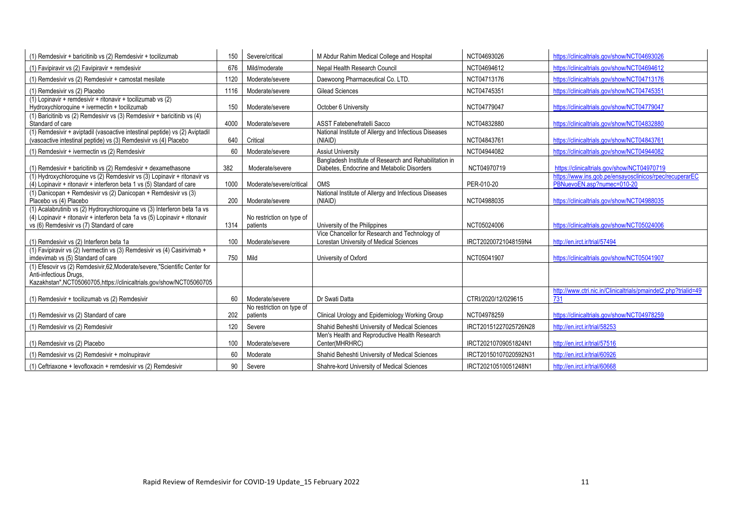| (1) Remdesivir + baricitinib vs (2) Remdesivir + tocilizumab                                                                                                                                         | 150  | Severe/critical                       | M Abdur Rahim Medical College and Hospital                                                            | NCT04693026           | https://clinicaltrials.gov/show/NCT04693026                                           |
|------------------------------------------------------------------------------------------------------------------------------------------------------------------------------------------------------|------|---------------------------------------|-------------------------------------------------------------------------------------------------------|-----------------------|---------------------------------------------------------------------------------------|
| (1) Favipiravir vs (2) Favipiravir + remdesivir                                                                                                                                                      | 676  | Mild/moderate                         | Nepal Health Research Council                                                                         | NCT04694612           | https://clinicaltrials.gov/show/NCT04694612                                           |
| (1) Remdesivir vs (2) Remdesivir + camostat mesilate                                                                                                                                                 | 1120 | Moderate/severe                       | Daewoong Pharmaceutical Co. LTD.                                                                      | NCT04713176           | https://clinicaltrials.gov/show/NCT04713176                                           |
| (1) Remdesivir vs (2) Placebo                                                                                                                                                                        | 1116 | Moderate/severe                       | <b>Gilead Sciences</b>                                                                                | NCT04745351           | https://clinicaltrials.gov/show/NCT04745351                                           |
| $(1)$ Lopinavir + remdesivir + ritonavir + tocilizumab vs $(2)$<br>Hydroxychloroquine + ivermectin + tocilizumab                                                                                     | 150  | Moderate/severe                       | October 6 University                                                                                  | NCT04779047           | https://clinicaltrials.gov/show/NCT04779047                                           |
| (1) Baricitinib vs (2) Remdesivir vs (3) Remdesivir + baricitinib vs (4)<br>Standard of care                                                                                                         | 4000 | Moderate/severe                       | ASST Fatebenefratelli Sacco                                                                           | NCT04832880           | https://clinicaltrials.gov/show/NCT04832880                                           |
| (1) Remdesivir + aviptadil (vasoactive intestinal peptide) vs (2) Aviptadil<br>(vasoactive intestinal peptide) vs (3) Remdesivir vs (4) Placebo                                                      | 640  | Critical                              | National Institute of Allergy and Infectious Diseases<br>(NIAID)                                      | NCT04843761           | https://clinicaltrials.gov/show/NCT04843761                                           |
| (1) Remdesivir + ivermectin vs (2) Remdesivir                                                                                                                                                        | 60   | Moderate/severe                       | <b>Assiut University</b>                                                                              | NCT04944082           | https://clinicaltrials.gov/show/NCT04944082                                           |
| (1) Remdesivir + baricitinib vs (2) Remdesivir + dexamethasone                                                                                                                                       | 382  | Moderate/severe                       | Bangladesh Institute of Research and Rehabilitation in<br>Diabetes. Endocrine and Metabolic Disorders | NCT04970719           | https://clinicaltrials.gov/show/NCT04970719                                           |
| (1) Hydroxychloroquine vs (2) Remdesivir vs (3) Lopinavir + ritonavir vs<br>(4) Lopinavir + ritonavir + interferon beta 1 vs (5) Standard of care                                                    | 1000 | Moderate/severe/critical              | <b>OMS</b>                                                                                            | PER-010-20            | https://www.ins.gob.pe/ensayosclinicos/rpec/recuperarEC<br>PBNuevoEN.asp?numec=010-20 |
| (1) Danicopan + Remdesivir vs (2) Danicopan + Remdesivir vs (3)<br>Placebo vs (4) Placebo                                                                                                            | 200  | Moderate/severe                       | National Institute of Allergy and Infectious Diseases<br>(NIAID)                                      | NCT04988035           | https://clinicaltrials.gov/show/NCT04988035                                           |
| (1) Acalabrutinib vs (2) Hydroxychloroquine vs (3) Interferon beta 1a vs<br>(4) Lopinavir + ritonavir + interferon beta 1a vs (5) Lopinavir + ritonavir<br>vs (6) Remdesivir vs (7) Standard of care | 1314 | No restriction on type of<br>patients | University of the Philippines                                                                         | NCT05024006           | https://clinicaltrials.gov/show/NCT05024006                                           |
| (1) Remdesivir vs (2) Interferon beta 1a                                                                                                                                                             | 100  | Moderate/severe                       | Vice Chancellor for Research and Technology of<br>Lorestan University of Medical Sciences             | IRCT20200721048159N4  | http://en.irct.ir/trial/57494                                                         |
| (1) Favipiravir vs (2) Ivermectin vs (3) Remdesivir vs (4) Casirivimab +<br>imdevimab vs (5) Standard of care                                                                                        | 750  | Mild                                  | University of Oxford                                                                                  | NCT05041907           | https://clinicaltrials.gov/show/NCT05041907                                           |
| (1) Efesovir vs (2) Remdesivir, 62, Moderate/severe, "Scientific Center for<br>Anti-infectious Drugs,<br>Kazakhstan", NCT05060705, https://clinicaltrials.gov/show/NCT05060705                       |      |                                       |                                                                                                       |                       |                                                                                       |
| (1) Remdesivir + tocilizumab vs (2) Remdesivir                                                                                                                                                       | 60   | Moderate/severe                       | Dr Swati Datta                                                                                        | CTRI/2020/12/029615   | http://www.ctri.nic.in/Clinicaltrials/pmaindet2.php?trialid=49<br>731                 |
| (1) Remdesivir vs (2) Standard of care                                                                                                                                                               | 202  | No restriction on type of<br>patients | Clinical Urology and Epidemiology Working Group                                                       | NCT04978259           | https://clinicaltrials.gov/show/NCT04978259                                           |
| (1) Remdesivir vs (2) Remdesivir                                                                                                                                                                     | 120  | Severe                                | Shahid Beheshti University of Medical Sciences                                                        | IRCT20151227025726N28 | http://en.irct.ir/trial/58253                                                         |
| (1) Remdesivir vs (2) Placebo                                                                                                                                                                        | 100  | Moderate/severe                       | Men's Health and Reproductive Health Research<br>Center(MHRHRC)                                       | IRCT20210709051824N1  | http://en.irct.ir/trial/57516                                                         |
| (1) Remdesivir vs (2) Remdesivir + molnupiravir                                                                                                                                                      | 60   | Moderate                              | Shahid Beheshti University of Medical Sciences                                                        | IRCT20150107020592N31 | http://en.irct.ir/trial/60926                                                         |
| (1) Ceftriaxone + levofloxacin + remdesivir vs (2) Remdesivir                                                                                                                                        | 90   | Severe                                | Shahre-kord University of Medical Sciences                                                            | IRCT20210510051248N1  | http://en.irct.ir/trial/60668                                                         |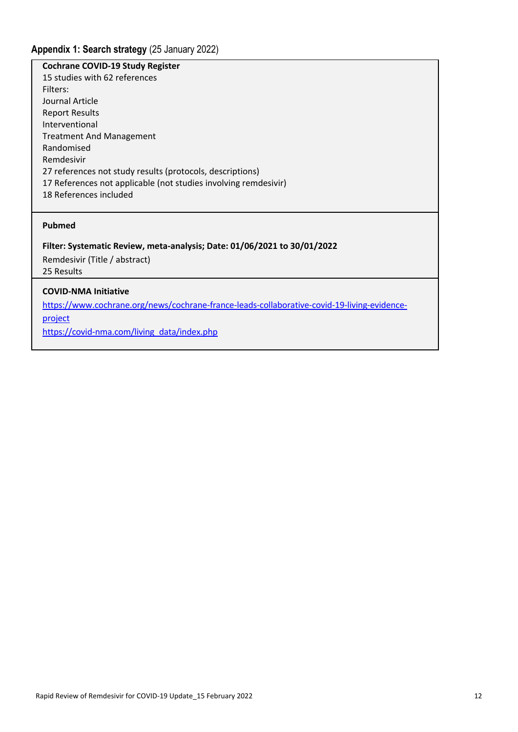## **Cochrane COVID-19 Study Register**

15 studies with 62 references Filters: Journal Article Report Results Interventional Treatment And Management Randomised Remdesivir 27 references not study results (protocols, descriptions) 17 References not applicable (not studies involving remdesivir) 18 References included

#### **Pubmed**

## **Filter: Systematic Review, meta-analysis; Date: 01/06/2021 to 30/01/2022**

Remdesivir (Title / abstract) 25 Results

# **COVID-NMA Initiative**

[https://www.cochrane.org/news/cochrane-france-leads-collaborative-covid-19-living-evidence-](https://www.cochrane.org/news/cochrane-france-leads-collaborative-covid-19-living-evidence-project)

[project](https://www.cochrane.org/news/cochrane-france-leads-collaborative-covid-19-living-evidence-project)

[https://covid-nma.com/living\\_data/index.php](https://covid-nma.com/living_data/index.php)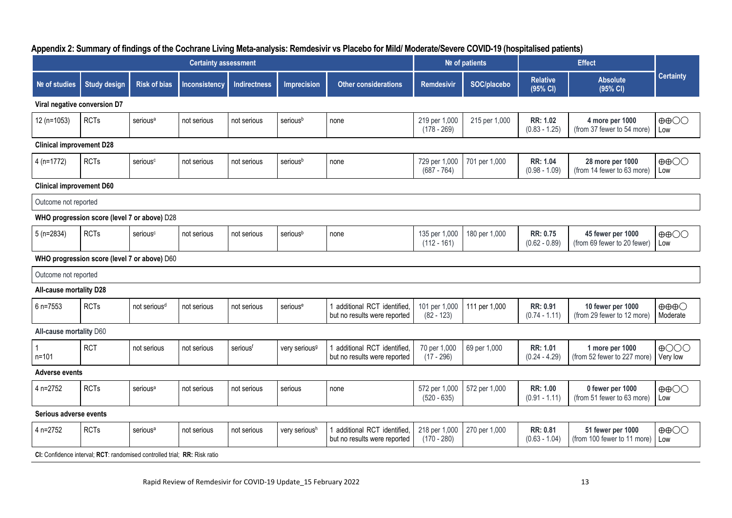| <b>Certainty assessment</b>    |                                                                           |                          |               |                     |                           |                                                             |                                | Nº of patients |                                    |                                                  |                                             |  |
|--------------------------------|---------------------------------------------------------------------------|--------------------------|---------------|---------------------|---------------------------|-------------------------------------------------------------|--------------------------------|----------------|------------------------------------|--------------------------------------------------|---------------------------------------------|--|
| Nº of studies                  | <b>Study design</b>                                                       | <b>Risk of bias</b>      | Inconsistency | <b>Indirectness</b> | <b>Imprecision</b>        | <b>Other considerations</b>                                 | <b>Remdesivir</b>              | SOC/placebo    | <b>Relative</b><br>(95% CI)        | <b>Absolute</b><br>(95% CI)                      | <b>Certainty</b>                            |  |
| Viral negative conversion D7   |                                                                           |                          |               |                     |                           |                                                             |                                |                |                                    |                                                  |                                             |  |
| 12 (n=1053)                    | <b>RCTs</b>                                                               | serious <sup>a</sup>     | not serious   | not serious         | seriousb                  | none                                                        | 219 per 1,000<br>$(178 - 269)$ | 215 per 1,000  | RR: 1.02<br>$(0.83 - 1.25)$        | 4 more per 1000<br>(from 37 fewer to 54 more)    | $\oplus$ $\oplus$<br>Low                    |  |
|                                | <b>Clinical improvement D28</b>                                           |                          |               |                     |                           |                                                             |                                |                |                                    |                                                  |                                             |  |
| $4(n=1772)$                    | <b>RCTs</b>                                                               | serious <sup>c</sup>     | not serious   | not serious         | seriousb                  | none                                                        | 729 per 1,000<br>$(687 - 764)$ | 701 per 1,000  | <b>RR: 1.04</b><br>$(0.98 - 1.09)$ | 28 more per 1000<br>(from 14 fewer to 63 more)   | $\oplus$ $\oplus$<br>Low                    |  |
|                                | <b>Clinical improvement D60</b>                                           |                          |               |                     |                           |                                                             |                                |                |                                    |                                                  |                                             |  |
|                                | Outcome not reported                                                      |                          |               |                     |                           |                                                             |                                |                |                                    |                                                  |                                             |  |
|                                | WHO progression score (level 7 or above) D28                              |                          |               |                     |                           |                                                             |                                |                |                                    |                                                  |                                             |  |
| $5(n=2834)$                    | <b>RCTs</b>                                                               | serious <sup>c</sup>     | not serious   | not serious         | seriousb                  | none                                                        | 135 per 1,000<br>$(112 - 161)$ | 180 per 1,000  | RR: 0.75<br>$(0.62 - 0.89)$        | 45 fewer per 1000<br>(from 69 fewer to 20 fewer) | $\oplus$ $\oplus$<br>Low                    |  |
|                                | WHO progression score (level 7 or above) D60                              |                          |               |                     |                           |                                                             |                                |                |                                    |                                                  |                                             |  |
| Outcome not reported           |                                                                           |                          |               |                     |                           |                                                             |                                |                |                                    |                                                  |                                             |  |
| <b>All-cause mortality D28</b> |                                                                           |                          |               |                     |                           |                                                             |                                |                |                                    |                                                  |                                             |  |
| 6 n=7553                       | <b>RCTs</b>                                                               | not serious <sup>d</sup> | not serious   | not serious         | serious <sup>e</sup>      | 1 additional RCT identified<br>but no results were reported | 101 per 1,000<br>$(82 - 123)$  | 111 per 1,000  | RR: 0.91<br>$(0.74 - 1.11)$        | 10 fewer per 1000<br>(from 29 fewer to 12 more)  | $\oplus \oplus \oplus \bigcirc$<br>Moderate |  |
| All-cause mortality D60        |                                                                           |                          |               |                     |                           |                                                             |                                |                |                                    |                                                  |                                             |  |
| $n = 101$                      | <b>RCT</b>                                                                | not serious              | not serious   | seriousf            | very serious <sup>9</sup> | additional RCT identified,<br>but no results were reported  | 70 per 1,000<br>$(17 - 296)$   | 69 per 1,000   | RR: 1.01<br>$(0.24 - 4.29)$        | 1 more per 1000<br>(from 52 fewer to 227 more)   | $\bigoplus$ OOO<br>Very low                 |  |
| <b>Adverse events</b>          |                                                                           |                          |               |                     |                           |                                                             |                                |                |                                    |                                                  |                                             |  |
| 4 n=2752                       | <b>RCTs</b>                                                               | serious <sup>a</sup>     | not serious   | not serious         | serious                   | none                                                        | 572 per 1,000<br>$(520 - 635)$ | 572 per 1,000  | RR: 1.00<br>$(0.91 - 1.11)$        | 0 fewer per 1000<br>(from 51 fewer to 63 more)   | $\oplus$ $\oplus$<br>Low                    |  |
| Serious adverse events         |                                                                           |                          |               |                     |                           |                                                             |                                |                |                                    |                                                  |                                             |  |
| 4 n=2752                       | <b>RCTs</b>                                                               | serious <sup>a</sup>     | not serious   | not serious         | very serioush             | 1 additional RCT identified<br>but no results were reported | 218 per 1,000<br>$(170 - 280)$ | 270 per 1,000  | RR: 0.81<br>$(0.63 - 1.04)$        | 51 fewer per 1000<br>(from 100 fewer to 11 more) | $\oplus$ $\oplus$<br>Low                    |  |
|                                | CI: Confidence interval: RCT: randomised controlled trial: RR: Risk ratio |                          |               |                     |                           |                                                             |                                |                |                                    |                                                  |                                             |  |

## **Appendix 2: Summary of findings of the Cochrane Living Meta-analysis: Remdesivir vs Placebo for Mild/ Moderate/Severe COVID-19 (hospitalised patients)**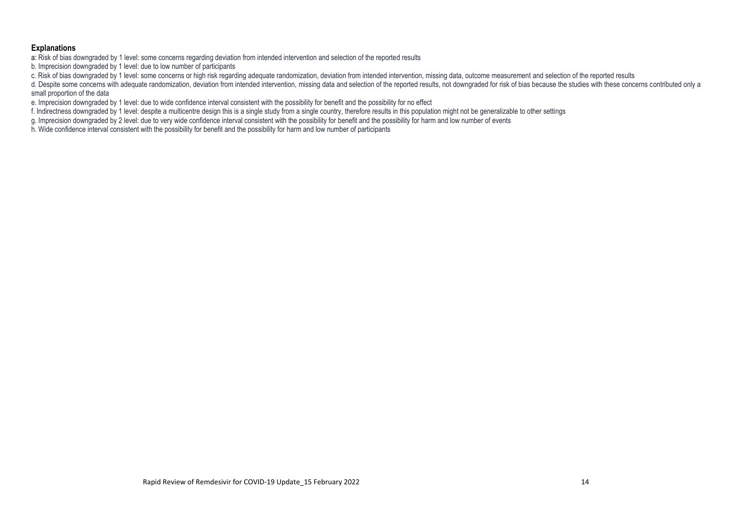#### **Explanations**

a: Risk of bias downgraded by 1 level: some concerns regarding deviation from intended intervention and selection of the reported results

b. Imprecision downgraded by 1 level: due to low number of participants

c. Risk of bias downgraded by 1 level: some concerns or high risk regarding adequate randomization, deviation from intended intervention, missing data, outcome measurement and selection of the reported results

d. Despite some concerns with adequate randomization, deviation from intended intervention, missing data and selection of the reported results, not downgraded for risk of bias because the studies with these concerns contri small proportion of the data

e. Imprecision downgraded by 1 level: due to wide confidence interval consistent with the possibility for benefit and the possibility for no effect

f. Indirectness downgraded by 1 level: despite a multicentre design this is a single study from a single country, therefore results in this population might not be generalizable to other settings

g. Imprecision downgraded by 2 level: due to very wide confidence interval consistent with the possibility for benefit and the possibility for harm and low number of events

h. Wide confidence interval consistent with the possibility for benefit and the possibility for harm and low number of participants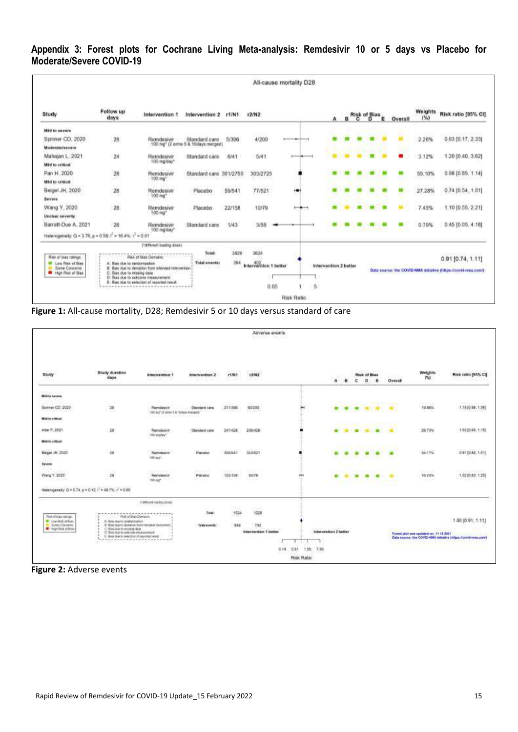# **Appendix 3: Forest plots for Cochrane Living Meta-analysis: Remdesivir 10 or 5 days vs Placebo for Moderate/Severe COVID-19**

|                                                                                         |                                                        |                                                                                                                       |                                                                 |             |                               | All-cause mortality D28    |                       |  |                           |   |                     |                 |                                                                                       |
|-----------------------------------------------------------------------------------------|--------------------------------------------------------|-----------------------------------------------------------------------------------------------------------------------|-----------------------------------------------------------------|-------------|-------------------------------|----------------------------|-----------------------|--|---------------------------|---|---------------------|-----------------|---------------------------------------------------------------------------------------|
| Study                                                                                   | Follow up<br>days                                      | Intervention 1                                                                                                        | Intervention 2                                                  | r1/N1       | <b>12/N2</b>                  |                            | $\mathbf{A}$          |  | a <sup>Risk of</sup> Bias | E | Overall             | Weights<br>(96) | Risk ratio [95% CI]                                                                   |
| Mid to severe                                                                           |                                                        |                                                                                                                       |                                                                 |             |                               |                            |                       |  |                           |   |                     |                 |                                                                                       |
| Spinner CD, 2020<br>Moderate/keyers                                                     | 28                                                     | Remdesivir                                                                                                            | Standard care<br>100 mg <sup>*</sup> (2 arms 5 & 10days merged) | 5/396       | 4/200                         | \$100000<br><b>SERVICE</b> |                       |  |                           |   | ti di               | 2.26%           | 0.63 [0.17, 2.33]                                                                     |
| Mahajan L. 2021<br><b>Mid to critical</b>                                               | 24                                                     | Remdesivir<br>100 mg/day*                                                                                             | Standard care                                                   | 6/41        | 5/41                          | $+$                        |                       |  |                           |   | -                   | 3.12%           | 1,20 (0.40, 3.62)                                                                     |
| Pan H. 2020<br>Mid to critical                                                          | $\sqrt{28}$                                            | Remdesive<br>100 mg <sup>*</sup>                                                                                      | Standard care                                                   | 301/2750    | 303/2725<br>988 X W W W W W   | ٠                          |                       |  |                           |   | <b>The Contract</b> | 59.10%          | $0.96$ (0.85, 1.14)<br>arona                                                          |
| Beigel JH, 2020<br>Beviere                                                              | <b>ILICE</b><br>28<br>-191                             | Remdealvir<br>100 mg <sup>*</sup>                                                                                     | Placebo                                                         | 59/541      | CONCRETE<br>77/521            | ٠                          |                       |  |                           |   |                     | 27.28%          | $0.74$ [0.54, 1.01]                                                                   |
| Wang Y, 2020<br>Unclear severity                                                        | 28                                                     | Remdesivir<br>100 mg*                                                                                                 | Placebo                                                         | 22/158      | 10/79                         | <b>Hollary</b>             |                       |  |                           |   |                     | 7.45%           | 1.10 [0.55, 2.21]                                                                     |
| Barratt-Due A. 2021                                                                     | 28.                                                    | Remdesivir<br>100 mg/day*                                                                                             | Standard care                                                   | 1/43        | 3/58                          |                            |                       |  |                           |   |                     | 0.79%           | 0.45 (0.05, 4.18)                                                                     |
| Heterogeneity: Q = 3.76, p = 0.58; f = 16.4%; $r^2$ = 0.01                              |                                                        | ("streven loading does)                                                                                               |                                                                 |             |                               |                            |                       |  |                           |   |                     |                 |                                                                                       |
| Risk of bias ratives<br><b>M</b> Low Risk of Base<br>Some Concerns<br>High Risk of Bias | Blue that to candomization<br>Blas due to missing data | <b>Risk of Blas Domains</b><br>B: Blas due to deviation from intended intervention                                    | Total:<br>Total events:                                         | 3929<br>394 | 3624<br>Intervention 1 better |                            | Intervention 2 better |  |                           |   |                     |                 | $0.91$ [0.74, 1.11]<br>Data source: the COVID-RMA initiative (https://covid-nma.com/) |
|                                                                                         |                                                        | D. Blas due to outcome measurement<br>E. Bies due to selection of reported result.<br>******************************* |                                                                 |             | 0.05                          | 5                          |                       |  |                           |   |                     |                 |                                                                                       |
|                                                                                         |                                                        |                                                                                                                       |                                                                 |             |                               | Risk Ratio                 |                       |  |                           |   |                     |                 |                                                                                       |



|                                                                                                       |                                                                                                      |                                                                             |                                    |                                   | Adverse events<br>4위에서 이 지역 이 사이 사 |                      |                                |                |                |                    |                |                           |                                       |                                                                                                                                                                                  |
|-------------------------------------------------------------------------------------------------------|------------------------------------------------------------------------------------------------------|-----------------------------------------------------------------------------|------------------------------------|-----------------------------------|------------------------------------|----------------------|--------------------------------|----------------|----------------|--------------------|----------------|---------------------------|---------------------------------------|----------------------------------------------------------------------------------------------------------------------------------------------------------------------------------|
| Study<br>60.SS                                                                                        | <b>Study duration</b><br>days                                                                        | <b>SAMY RANGER</b><br>Intervention 1<br>163.COM                             | 8005611419900<br>Intervention 2    | r1.041                            | 25250022<br>12.042                 |                      | A                              | в              | c              | Risk of Bias.<br>o | Е              | 05/10/11 15:53<br>Overall | Weights<br>1941                       | <b><i>CONTRACTORS</i></b><br>Risk ratio (95% CI)                                                                                                                                 |
| <b>DASGRESSING</b><br>Mid to severe                                                                   |                                                                                                      |                                                                             |                                    |                                   |                                    |                      |                                |                |                |                    |                |                           |                                       |                                                                                                                                                                                  |
| Spring CO 2020<br>나서 어떻습니다. 우리 시간                                                                     | 75<br>$\frac{2\pi}{3}$                                                                               | Removement<br>100 mg" (2 amin 5.8. Victory) transact)                       | Standard cars.                     | -55.50<br>211/398<br>-579952      | pressure<br>93/200<br><b>SHARE</b> |                      | ۰                              | $\blacksquare$ | $\blacksquare$ | $\blacksquare$     | $\blacksquare$ | <b>CONTRACTOR</b>         | WebSar<br>19,98%<br>- 1999-1991       | <b>HAMADIAN</b><br>1.15 (0.98, 1.36)                                                                                                                                             |
| Mitch for control of                                                                                  |                                                                                                      | 전용 장면 설명하루를 받아서                                                             |                                    |                                   |                                    |                      |                                |                |                |                    |                |                           |                                       |                                                                                                                                                                                  |
| Ader F. 2021                                                                                          | 28                                                                                                   | Reindesive<br>'Oliverdeke'                                                  | Standard cars.                     | 241426                            | 236/428                            |                      | ۰                              | ٠              | $\blacksquare$ | <b>SEC</b>         | m              |                           | 29.73%                                | 1:02 (0.96, 1.15)                                                                                                                                                                |
| Mini to critical                                                                                      |                                                                                                      |                                                                             |                                    |                                   |                                    |                      |                                |                |                |                    |                |                           |                                       |                                                                                                                                                                                  |
| Beigel JH, 2020                                                                                       | 28                                                                                                   | <b>Hamdasaya</b><br>Wind:                                                   | Pleased                            | 303/541                           | 023/521                            |                      |                                | ۰              |                |                    |                | $\blacksquare$            | 54.17%                                | 0.91 (0.82, 1.01)                                                                                                                                                                |
| Bancera                                                                                               |                                                                                                      |                                                                             |                                    |                                   |                                    |                      |                                |                |                |                    |                |                           |                                       |                                                                                                                                                                                  |
| Wang Y. 2020<br>watan Tubu                                                                            | $\hat{\mathbf{z}}$                                                                                   | 25203040<br>Remotesive<br><b>100 mg</b> 11000                               | <b>USOKO</b><br>Pacsoo<br>,,,,,,,, | <b>CARSON</b><br>102/158          | 1950<br>50/79<br>-11 XX            | $\cdots$             | 亩                              |                | ۰              | ٠                  | m              | $\blacksquare$            | wpagun<br>16.24%<br>vatar.            | www.com/<br>1.02 (0.83, 1.25)                                                                                                                                                    |
|                                                                                                       | Heterogeneity: Q = 5.74, p = 0.12; ( <sup>2</sup> = 48.7%; $v^2$ = 0.00)                             |                                                                             |                                    |                                   |                                    |                      |                                |                |                |                    |                |                           |                                       |                                                                                                                                                                                  |
|                                                                                                       |                                                                                                      | (1979) continuating reveals<br>1200 M M M M M M M M                         |                                    |                                   |                                    |                      |                                |                |                |                    |                |                           |                                       |                                                                                                                                                                                  |
| <b>Road backer</b><br><b>W. Low Rick of Black</b><br><b>B</b> Serie Content<br><b>R</b> martiacoffine | <b>Roll of Bats Domains</b><br>A Grecian to resistantials<br>C. Bay his to mong fats<br>$\mathbf{r}$ | ALCOHOL: ALCOHOL:<br>25 Stati due to deviation them introduct intervention. | Total:<br>Total events:            | <b>TEGO</b><br>1624<br>we<br>359. | 2229<br>$+228$<br>--<br>TO2        |                      |                                |                |                |                    |                |                           |                                       | 1.00 (0.91, 1.11)                                                                                                                                                                |
| <b>Service</b><br><b>MAG</b>                                                                          | Dr Brant due to autocone instancement<br>×<br>E. Bigs due to asked un of required result.            |                                                                             |                                    |                                   | Intervention 1 better              | 0.14<br>0.51<br>1.15 | Intervention 2 better<br>T.388 |                |                |                    |                |                           | Forest plot was spoked on: 11:19 2021 | Data knutch: the COVID-MRA Initiative (https://covid-max.com)<br>be a set as a part of the control of the control of the control of the control of the control of the control of |
|                                                                                                       |                                                                                                      |                                                                             |                                    |                                   |                                    | Risk Ratio           |                                |                |                |                    |                |                           |                                       |                                                                                                                                                                                  |

**Figure 2:** Adverse events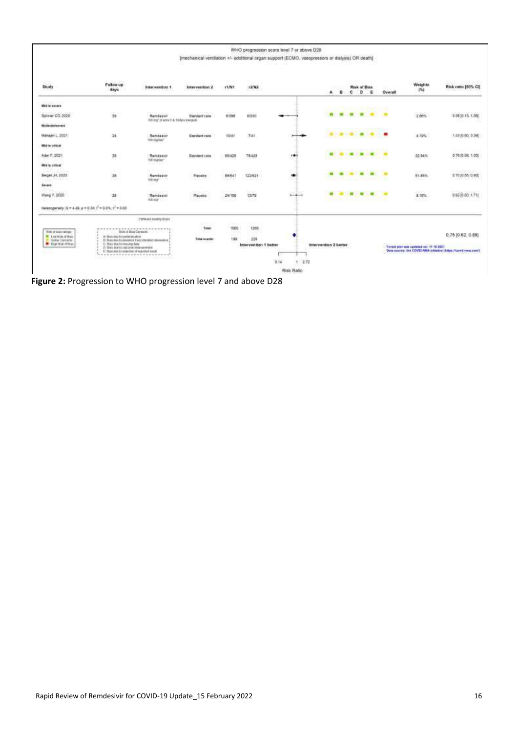|                                                                                                                      |                                                                                                                                                              |                                                                                                                                         | m                                               |                                    |                                      | WHO progression scare level 7 or above D28<br>[mechanical ventilation +/- additional organ support (ECMO, vasopressors or dialysis) OR death] |                       |                               |                     |              |                                         |                                                                                     |
|----------------------------------------------------------------------------------------------------------------------|--------------------------------------------------------------------------------------------------------------------------------------------------------------|-----------------------------------------------------------------------------------------------------------------------------------------|-------------------------------------------------|------------------------------------|--------------------------------------|-----------------------------------------------------------------------------------------------------------------------------------------------|-----------------------|-------------------------------|---------------------|--------------|-----------------------------------------|-------------------------------------------------------------------------------------|
| 57,000<br>Study                                                                                                      | <b>Survivos</b><br>Follow up<br>days                                                                                                                         | Intervention 1                                                                                                                          | Intervention 2                                  | (1/WT)                             | 12/82                                |                                                                                                                                               | 8<br>A.               | <b>Risk of Bias</b><br>е<br>o | ж                   | Overall      | Weights<br>154                          | Risk ratio 195% Cf                                                                  |
| Mild to severe                                                                                                       |                                                                                                                                                              |                                                                                                                                         |                                                 |                                    |                                      |                                                                                                                                               |                       |                               | <b><i>INT -</i></b> |              |                                         |                                                                                     |
| Spinner CD, 2020                                                                                                     | 28                                                                                                                                                           | Rendeever<br>400 mg" (3 was 114, 18 days metant).                                                                                       | Standard care                                   | 6/390                              | 8/200                                |                                                                                                                                               | ■                     | $\blacksquare$<br>面           |                     | $\mathbf{u}$ | 2.86%                                   | 0.39 (0.13, 1.08)                                                                   |
| Moderateleevere                                                                                                      |                                                                                                                                                              |                                                                                                                                         |                                                 |                                    |                                      |                                                                                                                                               |                       |                               |                     |              |                                         |                                                                                     |
| Mahajan L. 2021                                                                                                      | 34                                                                                                                                                           | Reindeblat<br>100 Highlan®                                                                                                              | Standard care                                   | 10/41                              | 7/41                                 | $- - -$                                                                                                                                       |                       | $\frac{1}{2}$                 | ٠                   | ٠            | 4.19%                                   | 14110.00.336                                                                        |
| Mild to price at                                                                                                     |                                                                                                                                                              |                                                                                                                                         |                                                 |                                    |                                      |                                                                                                                                               |                       |                               | $-1 - 1 - 1$        |              |                                         |                                                                                     |
| Adet F. 2021                                                                                                         | 脾                                                                                                                                                            | Raindealair<br>TOE mandant                                                                                                              | <b>Standard cars</b>                            | 60/429                             | 79/428                               | 19                                                                                                                                            | ٠                     | ٠                             | $\blacksquare$      | ٠            | 32,64%                                  | 0.76 (0.5KL 1.00)                                                                   |
| Mild to critical                                                                                                     |                                                                                                                                                              | na sa                                                                                                                                   |                                                 |                                    |                                      |                                                                                                                                               |                       |                               |                     |              |                                         |                                                                                     |
| Beigel J-1, 2020<br>2526                                                                                             | $\mu$                                                                                                                                                        | 11/11<br>Huesdague<br><b>Nikona</b> College                                                                                             | <b><i>PlaceDe</i></b>                           | $-2.3$<br>88/541                   | 122/821<br>- 1 x 250                 | ٠<br>œ                                                                                                                                        | ٠                     | $\blacksquare$                | $\blacksquare$      | $\mathbf{H}$ | nette<br>51.86%                         | <b>PRESENTATION</b><br>170 (0.55 0.90)<br>-3229-332                                 |
| Severe                                                                                                               |                                                                                                                                                              |                                                                                                                                         |                                                 |                                    |                                      |                                                                                                                                               |                       |                               |                     |              |                                         |                                                                                     |
| Wang Y. 2520.<br>hudiAserr                                                                                           | 28<br>nn                                                                                                                                                     | WASHINGTON<br>Namdaskill<br>Midster 17                                                                                                  | <b>London</b><br>Placetoc                       | <b>SCHOOL</b><br>24/158<br>n seria | 3.2010<br>1378<br>900                | $- + -$                                                                                                                                       |                       | $\blacksquare$<br>▬           | $\blacksquare$      |              | 11050<br>8.18%<br>500,500               | and the company of the company<br>0921060.171                                       |
| Helenopenely: Q = 4.69, µ = 0.04   = 0.0%; + = 0.00                                                                  |                                                                                                                                                              |                                                                                                                                         |                                                 |                                    |                                      |                                                                                                                                               |                       |                               |                     |              |                                         |                                                                                     |
|                                                                                                                      |                                                                                                                                                              | ("different trusting doors                                                                                                              | 4,542.                                          |                                    |                                      |                                                                                                                                               |                       |                               |                     |              |                                         |                                                                                     |
| <b>Week of total refiner:</b><br><b>M</b> Low Nisk of their<br><b>III</b> Gotte Concerns<br><b>B</b> Hud Hits of Him | A: Blug doi to cardenciateor.<br>G. Blue Buy for resource date<br>2) Since due to matchman hima take every<br>1: Blues shot to technitism of regulitud would | *****************<br>Hot of Bog Caregar.<br>To Disecutes to deviation from a templed relevants on<br><br>(우리 사이에는 일이 아이들은 일이 아니면 안 있어?) | Tytel<br><b>ALL 100</b><br>Total events:<br>--- | 1669<br>195                        | 1289<br>229<br>Intervention 1 better |                                                                                                                                               | Intervention 2 better |                               |                     |              | Forest part was sponded on: 11.16.3021. | 0.75(0.62, 0.89)<br>Data source: the COVID-NMA initiative (https://contd-rane.com/) |
|                                                                                                                      |                                                                                                                                                              |                                                                                                                                         |                                                 |                                    |                                      | 0.14<br>172                                                                                                                                   |                       |                               |                     |              |                                         |                                                                                     |
|                                                                                                                      |                                                                                                                                                              |                                                                                                                                         |                                                 |                                    |                                      | Risk Ratio                                                                                                                                    |                       |                               |                     |              |                                         |                                                                                     |

**Figure 2:** Progression to WHO progression level 7 and above D28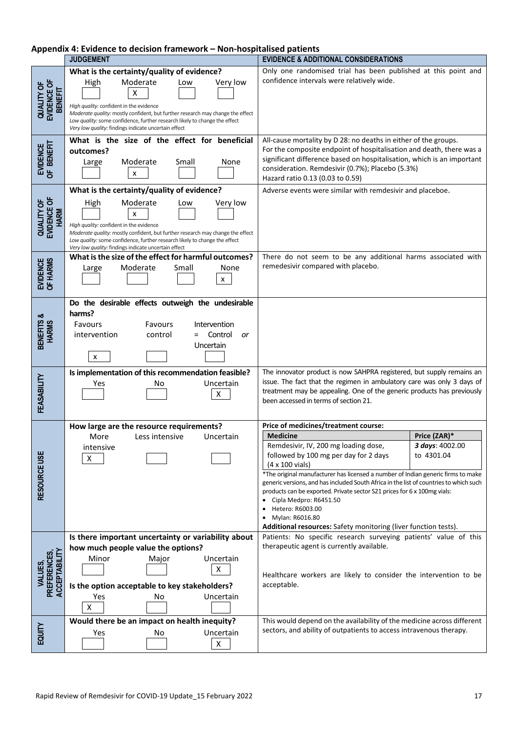| Appendix 4: Evidence to decision framework - Non-hospitalised patients |
|------------------------------------------------------------------------|
|------------------------------------------------------------------------|

|                                             | <b>JUDGEMENT</b>                                                                                                                                                                                                                                                                                                                                          | <b>EVIDENCE &amp; ADDITIONAL CONSIDERATIONS</b>                                                                                                                                                                                                                                                                                                                                                                                                                                                                                                                                                                                     |
|---------------------------------------------|-----------------------------------------------------------------------------------------------------------------------------------------------------------------------------------------------------------------------------------------------------------------------------------------------------------------------------------------------------------|-------------------------------------------------------------------------------------------------------------------------------------------------------------------------------------------------------------------------------------------------------------------------------------------------------------------------------------------------------------------------------------------------------------------------------------------------------------------------------------------------------------------------------------------------------------------------------------------------------------------------------------|
| QUALITY OF<br>EVIDENCE OF<br><b>BENEFIT</b> | What is the certainty/quality of evidence?<br>Moderate<br>Very low<br>High<br>Low<br>x<br>High quality: confident in the evidence<br>Moderate quality: mostly confident, but further research may change the effect<br>Low quality: some confidence, further research likely to change the effect<br>Very low quality: findings indicate uncertain effect | Only one randomised trial has been published at this point and<br>confidence intervals were relatively wide.                                                                                                                                                                                                                                                                                                                                                                                                                                                                                                                        |
| EVIDENCE<br>OF BENEFIT                      | What is the size of the effect for beneficial<br>outcomes?<br>Moderate<br>Small<br>None<br>Large<br>X                                                                                                                                                                                                                                                     | All-cause mortality by D 28: no deaths in either of the groups.<br>For the composite endpoint of hospitalisation and death, there was a<br>significant difference based on hospitalisation, which is an important<br>consideration. Remdesivir (0.7%); Placebo (5.3%)<br>Hazard ratio 0.13 (0.03 to 0.59)                                                                                                                                                                                                                                                                                                                           |
| QUALITY OF<br>EVIDENCE OF<br><b>HARM</b>    | What is the certainty/quality of evidence?<br>Moderate<br>High<br>Very low<br>Low<br>х<br>High quality: confident in the evidence<br>Moderate quality: mostly confident, but further research may change the effect<br>Low quality: some confidence, further research likely to change the effect<br>Very low quality: findings indicate uncertain effect | Adverse events were similar with remdesivir and placeboe.                                                                                                                                                                                                                                                                                                                                                                                                                                                                                                                                                                           |
| EVIDENCE<br>OF HARMS                        | What is the size of the effect for harmful outcomes?<br>Moderate<br>Small<br>None<br>Large<br>x                                                                                                                                                                                                                                                           | There do not seem to be any additional harms associated with<br>remedesivir compared with placebo.                                                                                                                                                                                                                                                                                                                                                                                                                                                                                                                                  |
| BENEFITS &<br><b>HARMS</b>                  | Do the desirable effects outweigh the undesirable<br>harms?<br>Favours<br>Favours<br>Intervention<br>control<br>= Control<br>intervention<br>or<br>Uncertain<br>x                                                                                                                                                                                         |                                                                                                                                                                                                                                                                                                                                                                                                                                                                                                                                                                                                                                     |
| FEASABILITY                                 | Is implementation of this recommendation feasible?<br>Uncertain<br>Yes<br>No<br>$\pmb{\mathsf{X}}$                                                                                                                                                                                                                                                        | The innovator product is now SAHPRA registered, but supply remains an<br>issue. The fact that the regimen in ambulatory care was only 3 days of<br>treatment may be appealing. One of the generic products has previously<br>been accessed in terms of section 21.                                                                                                                                                                                                                                                                                                                                                                  |
| RESOURCE USE                                | How large are the resource requirements?<br>Less intensive<br>More<br>Uncertain<br>intensive<br>X                                                                                                                                                                                                                                                         | Price of medicines/treatment course:<br><b>Medicine</b><br>Price (ZAR)*<br>Remdesivir, IV, 200 mg loading dose,<br><b>3 days</b> : 4002.00<br>followed by 100 mg per day for 2 days<br>to 4301.04<br>$(4 \times 100 \text{ vials})$<br>*The original manufacturer has licensed a number of Indian generic firms to make<br>generic versions, and has included South Africa in the list of countries to which such<br>products can be exported. Private sector S21 prices for 6 x 100mg vials:<br>Cipla Medpro: R6451.50<br>Hetero: R6003.00<br>• Mylan: R6016.80<br>Additional resources: Safety monitoring (liver function tests). |
| VALUES,<br>PREFERENCES,<br>ACCEPTABILITY    | Is there important uncertainty or variability about<br>how much people value the options?<br>Minor<br>Uncertain<br>Major<br>X<br>Is the option acceptable to key stakeholders?<br>Yes<br>No<br>Uncertain<br>X                                                                                                                                             | Patients: No specific research surveying patients' value of this<br>therapeutic agent is currently available.<br>Healthcare workers are likely to consider the intervention to be<br>acceptable.                                                                                                                                                                                                                                                                                                                                                                                                                                    |
| EQUITY                                      | Would there be an impact on health inequity?<br>Uncertain<br>Yes<br>No<br>Χ                                                                                                                                                                                                                                                                               | This would depend on the availability of the medicine across different<br>sectors, and ability of outpatients to access intravenous therapy.                                                                                                                                                                                                                                                                                                                                                                                                                                                                                        |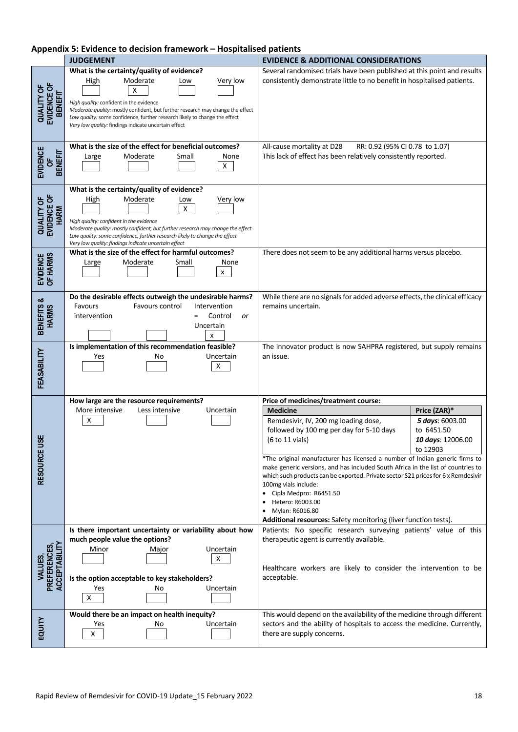## **Appendix 5: Evidence to decision framework – Hospitalised patients**

|                                                    | <b>JUDGEMENT</b>                                                                                                                                                                                                                                                                                                                                          | <b>EVIDENCE &amp; ADDITIONAL CONSIDERATIONS</b>                                                                                                                                                                                                                                                                                                                                                                                                                                                                                                                                                                                                                                  |  |
|----------------------------------------------------|-----------------------------------------------------------------------------------------------------------------------------------------------------------------------------------------------------------------------------------------------------------------------------------------------------------------------------------------------------------|----------------------------------------------------------------------------------------------------------------------------------------------------------------------------------------------------------------------------------------------------------------------------------------------------------------------------------------------------------------------------------------------------------------------------------------------------------------------------------------------------------------------------------------------------------------------------------------------------------------------------------------------------------------------------------|--|
| <b>QUALITY OF</b><br>EVIDENCE OF<br><b>BENEFIT</b> | What is the certainty/quality of evidence?<br>Moderate<br>Very low<br>High<br>Low<br>х<br>High quality: confident in the evidence<br>Moderate quality: mostly confident, but further research may change the effect<br>Low quality: some confidence, further research likely to change the effect<br>Very low quality: findings indicate uncertain effect | Several randomised trials have been published at this point and results<br>consistently demonstrate little to no benefit in hospitalised patients.                                                                                                                                                                                                                                                                                                                                                                                                                                                                                                                               |  |
| <b>EVIDENCE</b><br><b>BENEFIT</b><br>Ъ             | What is the size of the effect for beneficial outcomes?<br>Moderate<br>Small<br>None<br>Large<br>X                                                                                                                                                                                                                                                        | All-cause mortality at D28<br>RR: 0.92 (95% CI 0.78 to 1.07)<br>This lack of effect has been relatively consistently reported.                                                                                                                                                                                                                                                                                                                                                                                                                                                                                                                                                   |  |
| QUALITY OF<br>EVIDENCE OF<br><b>HARM</b>           | What is the certainty/quality of evidence?<br>Moderate<br>Very low<br>High<br>Low<br>Χ<br>High quality: confident in the evidence<br>Moderate quality: mostly confident, but further research may change the effect<br>Low quality: some confidence, further research likely to change the effect<br>Very low quality: findings indicate uncertain effect |                                                                                                                                                                                                                                                                                                                                                                                                                                                                                                                                                                                                                                                                                  |  |
| EVIDENCE<br>OF HARMS                               | What is the size of the effect for harmful outcomes?<br>Moderate<br>Small<br>None<br>Large<br>x                                                                                                                                                                                                                                                           | There does not seem to be any additional harms versus placebo.                                                                                                                                                                                                                                                                                                                                                                                                                                                                                                                                                                                                                   |  |
| BENEFITS &<br><b>HARMS</b>                         | Do the desirable effects outweigh the undesirable harms?<br>Favours control<br>Favours<br>Intervention<br>Control<br>intervention<br>or<br>$=$<br>Uncertain                                                                                                                                                                                               | While there are no signals for added adverse effects, the clinical efficacy<br>remains uncertain.                                                                                                                                                                                                                                                                                                                                                                                                                                                                                                                                                                                |  |
| FEASABILITY                                        | Is implementation of this recommendation feasible?<br>Uncertain<br>Yes<br>Νo<br>X                                                                                                                                                                                                                                                                         | The innovator product is now SAHPRA registered, but supply remains<br>an issue.                                                                                                                                                                                                                                                                                                                                                                                                                                                                                                                                                                                                  |  |
| RESOURCE USE                                       | How large are the resource requirements?<br>More intensive<br>Less intensive<br>Uncertain<br>х                                                                                                                                                                                                                                                            | Price of medicines/treatment course:<br><b>Medicine</b><br>Price (ZAR)*<br>Remdesivir, IV, 200 mg loading dose,<br>5 days: 6003.00<br>followed by 100 mg per day for 5-10 days<br>to 6451.50<br>$(6 to 11 \text{ vials})$<br>10 days: 12006.00<br>to 12903<br>*The original manufacturer has licensed a number of Indian generic firms to<br>make generic versions, and has included South Africa in the list of countries to<br>which such products can be exported. Private sector S21 prices for 6 x Remdesivir<br>100mg vials include:<br>• Cipla Medpro: R6451.50<br>Hetero: R6003.00<br>Mylan: R6016.80<br>Additional resources: Safety monitoring (liver function tests). |  |
| VALUES,<br>PREFERENCES,<br>ACCEPTABILITY           | Is there important uncertainty or variability about how<br>much people value the options?<br>Uncertain<br>Minor<br>Major<br>X<br>Is the option acceptable to key stakeholders?<br>No<br>Uncertain<br>Yes<br>$\boldsymbol{\mathsf{X}}$                                                                                                                     | Patients: No specific research surveying patients' value of this<br>therapeutic agent is currently available.<br>Healthcare workers are likely to consider the intervention to be<br>acceptable.                                                                                                                                                                                                                                                                                                                                                                                                                                                                                 |  |
| EQUITY                                             | Would there be an impact on health inequity?<br>Uncertain<br>Yes<br>No<br>X                                                                                                                                                                                                                                                                               | This would depend on the availability of the medicine through different<br>sectors and the ability of hospitals to access the medicine. Currently,<br>there are supply concerns.                                                                                                                                                                                                                                                                                                                                                                                                                                                                                                 |  |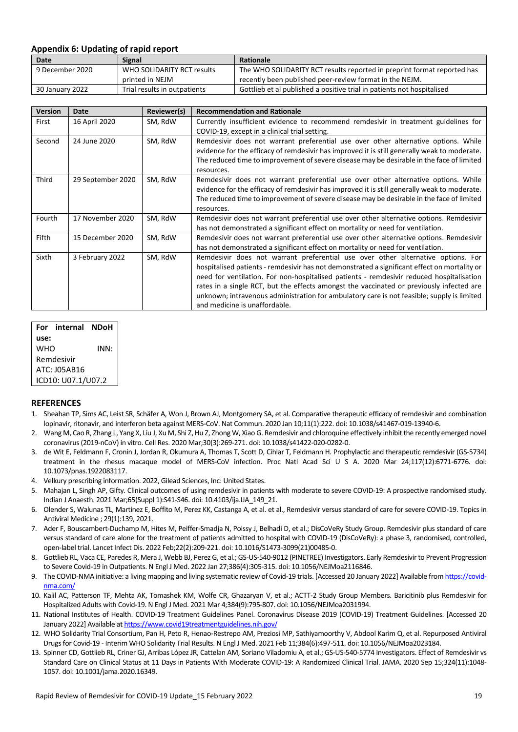#### **Appendix 6: Updating of rapid report**

| Date            | Signal                       | <b>Rationale</b>                                                        |
|-----------------|------------------------------|-------------------------------------------------------------------------|
| 9 December 2020 | WHO SOLIDARITY RCT results   | The WHO SOLIDARITY RCT results reported in preprint format reported has |
|                 | printed in NEJM              | recently been published peer-review format in the NEJM.                 |
| 30 January 2022 | Trial results in outpatients | Gottlieb et al published a positive trial in patients not hospitalised  |

| <b>Version</b> | Date                       | Reviewer(s) | <b>Recommendation and Rationale</b>                                                          |  |
|----------------|----------------------------|-------------|----------------------------------------------------------------------------------------------|--|
| First          | 16 April 2020              | SM, RdW     | Currently insufficient evidence to recommend remdesivir in treatment guidelines for          |  |
|                |                            |             | COVID-19, except in a clinical trial setting.                                                |  |
| Second         | 24 June 2020               | SM, RdW     | Remdesivir does not warrant preferential use over other alternative options. While           |  |
|                |                            |             | evidence for the efficacy of remdesivir has improved it is still generally weak to moderate. |  |
|                |                            |             | The reduced time to improvement of severe disease may be desirable in the face of limited    |  |
|                |                            |             | resources.                                                                                   |  |
| Third          | 29 September 2020          | SM, RdW     | Remdesivir does not warrant preferential use over other alternative options. While           |  |
|                |                            |             | evidence for the efficacy of remdesivir has improved it is still generally weak to moderate. |  |
|                |                            |             | The reduced time to improvement of severe disease may be desirable in the face of limited    |  |
|                |                            |             | resources.                                                                                   |  |
| Fourth         | 17 November 2020           | SM, RdW     | Remdesivir does not warrant preferential use over other alternative options. Remdesivir      |  |
|                |                            |             | has not demonstrated a significant effect on mortality or need for ventilation.              |  |
| Fifth          | 15 December 2020           | SM, RdW     | Remdesivir does not warrant preferential use over other alternative options. Remdesivir      |  |
|                |                            |             | has not demonstrated a significant effect on mortality or need for ventilation.              |  |
| Sixth          | 3 February 2022<br>SM, RdW |             | Remdesivir does not warrant preferential use over other alternative options. For             |  |
|                |                            |             | hospitalised patients - remdesivir has not demonstrated a significant effect on mortality or |  |
|                |                            |             | need for ventilation. For non-hospitalised patients - remdesivir reduced hospitalisation     |  |
|                |                            |             | rates in a single RCT, but the effects amongst the vaccinated or previously infected are     |  |
|                |                            |             | unknown; intravenous administration for ambulatory care is not feasible; supply is limited   |  |
|                |                            |             | and medicine is unaffordable.                                                                |  |

|                    | For internal NDoH |      |  |  |
|--------------------|-------------------|------|--|--|
| use:               |                   |      |  |  |
| WHO                |                   | INN: |  |  |
| Remdesivir         |                   |      |  |  |
| ATC: I05AB16       |                   |      |  |  |
| ICD10: U07.1/U07.2 |                   |      |  |  |

#### **REFERENCES**

- 1. Sheahan TP, Sims AC, Leist SR, Schäfer A, Won J, Brown AJ, Montgomery SA, et al. Comparative therapeutic efficacy of remdesivir and combination lopinavir, ritonavir, and interferon beta against MERS-CoV. Nat Commun. 2020 Jan 10;11(1):222. doi: 10.1038/s41467-019-13940-6.
- 2. Wang M, Cao R, Zhang L, Yang X, Liu J, Xu M, Shi Z, Hu Z, Zhong W, Xiao G. Remdesivir and chloroquine effectively inhibit the recently emerged novel coronavirus (2019-nCoV) in vitro. Cell Res. 2020 Mar;30(3):269-271. doi: 10.1038/s41422-020-0282-0.
- 3. de Wit E, Feldmann F, Cronin J, Jordan R, Okumura A, Thomas T, Scott D, Cihlar T, Feldmann H. Prophylactic and therapeutic remdesivir (GS-5734) treatment in the rhesus macaque model of MERS-CoV infection. Proc Natl Acad Sci U S A. 2020 Mar 24;117(12):6771-6776. doi: 10.1073/pnas.1922083117.
- 4. Velkury prescribing information. 2022, Gilead Sciences, Inc: United States.
- 5. Mahajan L, Singh AP, Gifty. Clinical outcomes of using remdesivir in patients with moderate to severe COVID-19: A prospective randomised study. Indian J Anaesth. 2021 Mar;65(Suppl 1):S41-S46. doi: 10.4103/ija.IJA\_149\_21.
- 6. Olender S, Walunas TL, Martinez E, Boffito M, Perez KK, Castanga A, et al. et al., Remdesivir versus standard of care for severe COVID-19. Topics in Antiviral Medicine ; 29(1):139, 2021.
- 7. Ader F, Bouscambert-Duchamp M, Hites M, Peiffer-Smadja N, Poissy J, Belhadi D, et al.; DisCoVeRy Study Group. Remdesivir plus standard of care versus standard of care alone for the treatment of patients admitted to hospital with COVID-19 (DisCoVeRy): a phase 3, randomised, controlled, open-label trial. Lancet Infect Dis. 2022 Feb;22(2):209-221. doi: 10.1016/S1473-3099(21)00485-0.
- 8. Gottlieb RL, Vaca CE, Paredes R, Mera J, Webb BJ, Perez G, et al.; GS-US-540-9012 (PINETREE) Investigators. Early Remdesivir to Prevent Progression to Severe Covid-19 in Outpatients. N Engl J Med. 2022 Jan 27;386(4):305-315. doi: 10.1056/NEJMoa2116846.
- 9. The COVID-NMA initiative: a living mapping and living systematic review of Covid-19 trials. [Accessed 20 January 2022] Available fro[m https://covid](https://covid-nma.com/)[nma.com/](https://covid-nma.com/)
- 10. Kalil AC, Patterson TF, Mehta AK, Tomashek KM, Wolfe CR, Ghazaryan V, et al.; ACTT-2 Study Group Members. Baricitinib plus Remdesivir for Hospitalized Adults with Covid-19. N Engl J Med. 2021 Mar 4;384(9):795-807. doi: 10.1056/NEJMoa2031994.
- 11. National Institutes of Health. COVID-19 Treatment Guidelines Panel. Coronavirus Disease 2019 (COVID-19) Treatment Guidelines. [Accessed 20 January 2022] Available a[t https://www.covid19treatmentguidelines.nih.gov/](https://www.covid19treatmentguidelines.nih.gov/)
- 12. WHO Solidarity Trial Consortium, Pan H, Peto R, Henao-Restrepo AM, Preziosi MP, Sathiyamoorthy V, Abdool Karim Q, et al. Repurposed Antiviral Drugs for Covid-19 - Interim WHO Solidarity Trial Results. N Engl J Med. 2021 Feb 11;384(6):497-511. doi: 10.1056/NEJMoa2023184.
- 13. Spinner CD, Gottlieb RL, Criner GJ, Arribas López JR, Cattelan AM, Soriano Viladomiu A, et al.; GS-US-540-5774 Investigators. Effect of Remdesivir vs Standard Care on Clinical Status at 11 Days in Patients With Moderate COVID-19: A Randomized Clinical Trial. JAMA. 2020 Sep 15;324(11):1048- 1057. doi: 10.1001/jama.2020.16349.